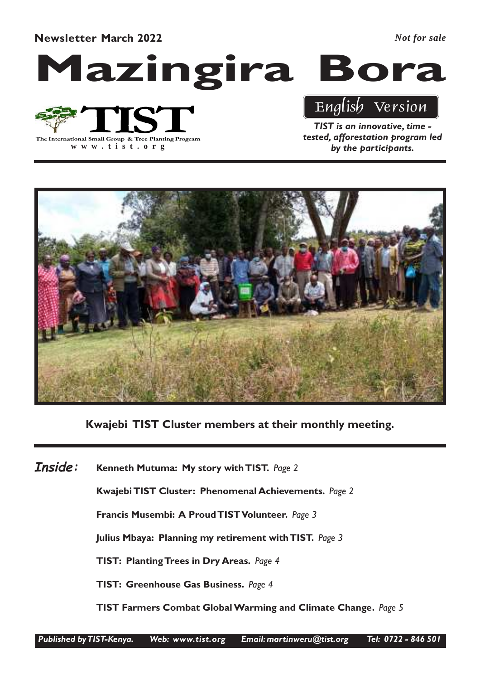Newsletter March 2022

*Not for sale*

Mazingira Bora



**www .tist.org**

# English Version

TIST is an innovative, time tested, afforestation program led by the participants.



Kwajebi TIST Cluster members at their monthly meeting.

Kenneth Mutuma: My story with TIST. Page 2 Kwajebi TIST Cluster: Phenomenal Achievements. Page 2 Francis Musembi: A Proud TIST Volunteer. Page 3 Julius Mbaya: Planning my retirement with TIST. Page 3 TIST: Planting Trees in Dry Areas. Page 4 TIST: Greenhouse Gas Business. Page 4 TIST Farmers Combat Global Warming and Climate Change. Page 5 Inside: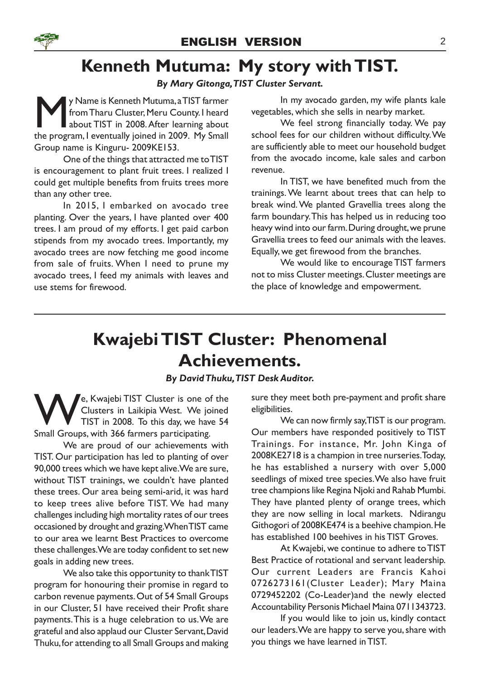### Kenneth Mutuma: My story with TIST.

### By Mary Gitonga,TIST Cluster Servant.

Y Name is Kenneth Mutuma, a TIST farmer<br>from Tharu Cluster, Meru County. I heard<br>about TIST in 2008. After learning about<br>the program, I eventually joined in 2009. My Small y Name is Kenneth Mutuma, a TIST farmer from Tharu Cluster, Meru County. I heard about TIST in 2008. After learning about Group name is Kinguru- 2009KE153.

One of the things that attracted me to TIST is encouragement to plant fruit trees. I realized I could get multiple benefits from fruits trees more than any other tree.

In 2015, I embarked on avocado tree planting. Over the years, I have planted over 400 trees. I am proud of my efforts. I get paid carbon stipends from my avocado trees. Importantly, my avocado trees are now fetching me good income from sale of fruits. When I need to prune my avocado trees, I feed my animals with leaves and use stems for firewood.

In my avocado garden, my wife plants kale vegetables, which she sells in nearby market.

We feel strong financially today. We pay school fees for our children without difficulty. We are sufficiently able to meet our household budget from the avocado income, kale sales and carbon revenue.

In TIST, we have benefited much from the trainings. We learnt about trees that can help to break wind. We planted Gravellia trees along the farm boundary. This has helped us in reducing too heavy wind into our farm. During drought, we prune Gravellia trees to feed our animals with the leaves. Equally, we get firewood from the branches.

We would like to encourage TIST farmers not to miss Cluster meetings. Cluster meetings are the place of knowledge and empowerment.

### Kwajebi TIST Cluster: Phenomenal Achievements.

### By David Thuku,TIST Desk Auditor.

We, Kwajebi TIST Cluster is one of the<br>Clusters in Laikipia West. We joined<br>TIST in 2008. To this day, we have 54<br>Small Groups, with 366 farmers participating. Clusters in Laikipia West. We joined TIST in 2008. To this day, we have 54 Small Groups, with 366 farmers participating.

We are proud of our achievements with TIST. Our participation has led to planting of over 90,000 trees which we have kept alive. We are sure, without TIST trainings, we couldn't have planted these trees. Our area being semi-arid, it was hard to keep trees alive before TIST. We had many challenges including high mortality rates of our trees occasioned by drought and grazing.When TIST came to our area we learnt Best Practices to overcome these challenges. We are today confident to set new goals in adding new trees.

We also take this opportunity to thank TIST program for honouring their promise in regard to carbon revenue payments. Out of 54 Small Groups in our Cluster, 51 have received their Profit share payments.This is a huge celebration to us. We are grateful and also applaud our Cluster Servant, David Thuku, for attending to all Small Groups and making sure they meet both pre-payment and profit share eligibilities.

We can now firmly say, TIST is our program. Our members have responded positively to TIST Trainings. For instance, Mr. John Kinga of 2008KE2718 is a champion in tree nurseries. Today, he has established a nursery with over 5,000 seedlings of mixed tree species. We also have fruit tree champions like Regina Njoki and Rahab Mumbi. They have planted plenty of orange trees, which they are now selling in local markets. Ndirangu Githogori of 2008KE474 is a beehive champion. He has established 100 beehives in his TIST Groves.

At Kwajebi, we continue to adhere to TIST Best Practice of rotational and servant leadership. Our current Leaders are Francis Kahoi 0726273161(Cluster Leader); Mary Maina 0729452202 (Co-Leader)and the newly elected Accountability Personis Michael Maina 0711343723.

If you would like to join us, kindly contact our leaders. We are happy to serve you, share with you things we have learned in TIST.

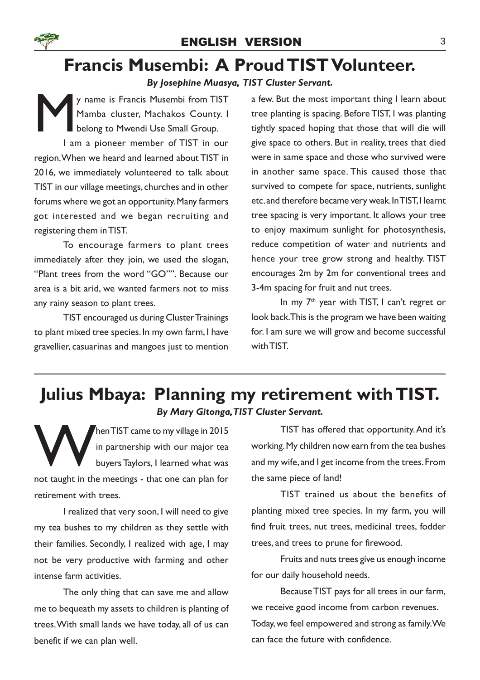

### Francis Musembi: A Proud TIST Volunteer.

### By Josephine Muasya, TIST Cluster Servant.

M y name is Francis Musembi from TIST Mamba cluster, Machakos County. I belong to Mwendi Use Small Group. I am a pioneer member of TIST in our region.When we heard and learned about TIST in 2016, we immediately volunteered to talk about TIST in our village meetings, churches and in other forums where we got an opportunity. Many farmers got interested and we began recruiting and registering them in TIST.

To encourage farmers to plant trees immediately after they join, we used the slogan, "Plant trees from the word "GO"". Because our area is a bit arid, we wanted farmers not to miss any rainy season to plant trees.

TIST encouraged us during Cluster Trainings to plant mixed tree species. In my own farm, I have gravellier, casuarinas and mangoes just to mention a few. But the most important thing I learn about tree planting is spacing. Before TIST, I was planting tightly spaced hoping that those that will die will give space to others. But in reality, trees that died were in same space and those who survived were in another same space. This caused those that survived to compete for space, nutrients, sunlight etc. and therefore became very weak. In TIST, I learnt tree spacing is very important. It allows your tree to enjoy maximum sunlight for photosynthesis, reduce competition of water and nutrients and hence your tree grow strong and healthy. TIST encourages 2m by 2m for conventional trees and 3-4m spacing for fruit and nut trees.

In my 7<sup>th</sup> year with TIST, I can't regret or look back.This is the program we have been waiting for. I am sure we will grow and become successful with TIST.

### Julius Mbaya: Planning my retirement with TIST. By Mary Gitonga,TIST Cluster Servant.

hen TIST came to my village in 2015<br>in partnership with our major tea<br>buyers Taylors, I learned what was<br>not taught in the meetings - that one can plan for hen TIST came to my village in 2015 in partnership with our major tea buyers Taylors, I learned what was retirement with trees.

I realized that very soon, I will need to give my tea bushes to my children as they settle with their families. Secondly, I realized with age, I may not be very productive with farming and other intense farm activities.

The only thing that can save me and allow me to bequeath my assets to children is planting of trees.With small lands we have today, all of us can benefit if we can plan well.

TIST has offered that opportunity. And it's working. My children now earn from the tea bushes and my wife, and I get income from the trees. From the same piece of land!

TIST trained us about the benefits of planting mixed tree species. In my farm, you will find fruit trees, nut trees, medicinal trees, fodder trees, and trees to prune for firewood.

Fruits and nuts trees give us enough income for our daily household needs.

Because TIST pays for all trees in our farm, we receive good income from carbon revenues. Today, we feel empowered and strong as family. We can face the future with confidence.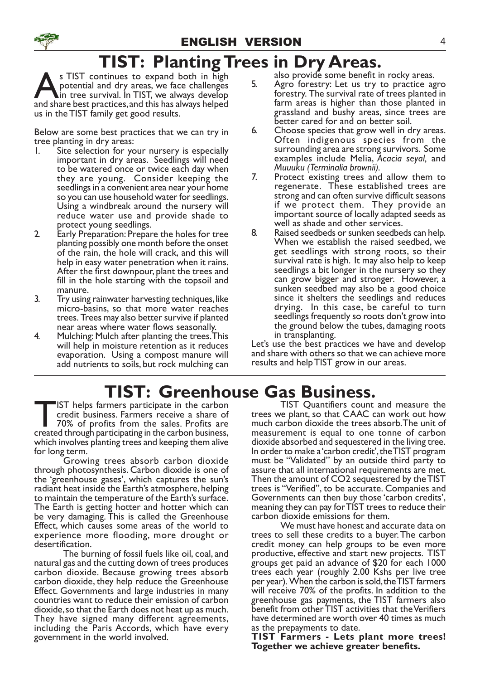# TIST: Planting Trees in Dry Areas.

S TIST continues to expand both in high<br>potential and dry areas, we face challenges<br>and share best practices, and this has always helped s TIST continues to expand both in high potential and dry areas, we face challenges  $\blacksquare$ in tree survival. In TIST, we always develop us in the TIST family get good results.

Below are some best practices that we can try in tree planting in dry areas:

- 1. Site selection for your nursery is especially important in dry areas. Seedlings will need to be watered once or twice each day when they are young. Consider keeping the seedlings in a convenient area near your home so you can use household water for seedlings. Using a windbreak around the nursery will reduce water use and provide shade to protect young seedlings.
- 2. Early Preparation: Prepare the holes for tree planting possibly one month before the onset of the rain, the hole will crack, and this will help in easy water penetration when it rains. After the first downpour, plant the trees and fill in the hole starting with the topsoil and manure.
- 3. Try using rainwater harvesting techniques, like micro-basins, so that more water reaches trees. Trees may also better survive if planted near areas where water flows seasonally.
- 4. Mulching: Mulch after planting the trees.This will help in moisture retention as it reduces evaporation. Using a compost manure will add nutrients to soils, but rock mulching can

also provide some benefit in rocky areas.

- 5. Agro forestry: Let us try to practice agro forestry. The survival rate of trees planted in farm areas is higher than those planted in grassland and bushy areas, since trees are better cared for and on better soil.
- 6. Choose species that grow well in dry areas. Often indigenous species from the surrounding area are strong survivors. Some examples include Melia, Acacia seyal, and Muuuku (Terminalia brownii).
- 7. Protect existing trees and allow them to regenerate. These established trees are strong and can often survive difficult seasons if we protect them. They provide an important source of locally adapted seeds as well as shade and other services.
- 8. Raised seedbeds or sunken seedbeds can help. When we establish the raised seedbed, we get seedlings with strong roots, so their survival rate is high. It may also help to keep seedlings a bit longer in the nursery so they can grow bigger and stronger. However, a sunken seedbed may also be a good choice since it shelters the seedlings and reduces drying. In this case, be careful to turn seedlings frequently so roots don't grow into the ground below the tubes, damaging roots in transplanting.

Let's use the best practices we have and develop and share with others so that we can achieve more results and help TIST grow in our areas.

### TIST: Greenhouse Gas Business.

IST helps farmers participate in the carbon credit business. Farmers receive a share of 70% of profits from the sales. Profits are created through participating in the carbon business, IST helps farmers participate in the carbon credit business. Farmers receive a share of 70% of profits from the sales. Profits are which involves planting trees and keeping them alive for long term.

Growing trees absorb carbon dioxide through photosynthesis. Carbon dioxide is one of the 'greenhouse gases', which captures the sun's radiant heat inside the Earth's atmosphere, helping to maintain the temperature of the Earth's surface. The Earth is getting hotter and hotter which can be very damaging. This is called the Greenhouse Effect, which causes some areas of the world to experience more flooding, more drought or desertification.

The burning of fossil fuels like oil, coal, and natural gas and the cutting down of trees produces carbon dioxide. Because growing trees absorb carbon dioxide, they help reduce the Greenhouse Effect. Governments and large industries in many countries want to reduce their emission of carbon dioxide, so that the Earth does not heat up as much. They have signed many different agreements, including the Paris Accords, which have every government in the world involved.

TIST Quantifiers count and measure the trees we plant, so that CAAC can work out how much carbon dioxide the trees absorb. The unit of measurement is equal to one tonne of carbon dioxide absorbed and sequestered in the living tree. In order to make a 'carbon credit', the TIST program must be "Validated" by an outside third party to assure that all international requirements are met. Then the amount of CO2 sequestered by the TIST trees is "Verified", to be accurate. Companies and Governments can then buy those 'carbon credits', meaning they can pay for TIST trees to reduce their carbon dioxide emissions for them.

We must have honest and accurate data on trees to sell these credits to a buyer. The carbon credit money can help groups to be even more productive, effective and start new projects. TIST groups get paid an advance of \$20 for each 1000 trees each year (roughly 2.00 Kshs per live tree per year). When the carbon is sold, the TIST farmers will receive 70% of the profits. In addition to the greenhouse gas payments, the TIST farmers also benefit from other TIST activities that the Verifiers have determined are worth over 40 times as much as the prepayments to date.

TIST Farmers - Lets plant more trees! Together we achieve greater benefits.

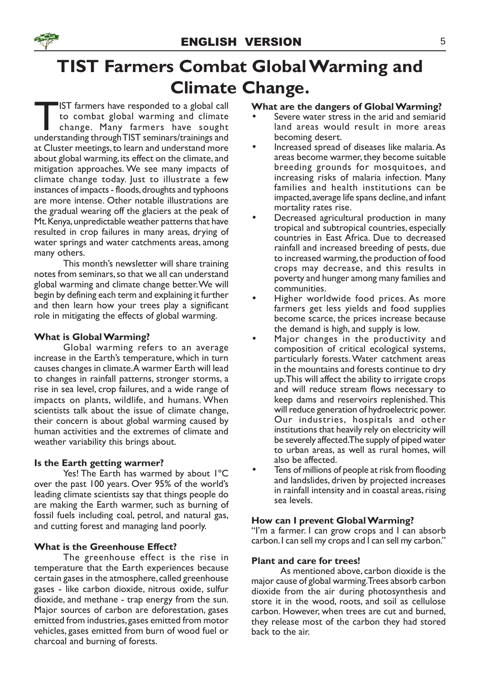

# TIST Farmers Combat Global Warming and Climate Change.

IST farmers have responded to a global call<br>to combat global warming and climate<br>change. Many farmers have sought<br>understanding through TIST seminars/trainings and IST farmers have responded to a global call to combat global warming and climate change. Many farmers have sought at Cluster meetings, to learn and understand more about global warming, its effect on the climate, and mitigation approaches. We see many impacts of climate change today. Just to illustrate a few instances of impacts - floods, droughts and typhoons are more intense. Other notable illustrations are the gradual wearing off the glaciers at the peak of Mt. Kenya, unpredictable weather patterns that have resulted in crop failures in many areas, drying of water springs and water catchments areas, among many others.

This month's newsletter will share training notes from seminars, so that we all can understand global warming and climate change better. We will begin by defining each term and explaining it further and then learn how your trees play a significant role in mitigating the effects of global warming.

### What is Global Warming?

Global warming refers to an average increase in the Earth's temperature, which in turn causes changes in climate. A warmer Earth will lead to changes in rainfall patterns, stronger storms, a rise in sea level, crop failures, and a wide range of impacts on plants, wildlife, and humans. When scientists talk about the issue of climate change, their concern is about global warming caused by human activities and the extremes of climate and weather variability this brings about.

### Is the Earth getting warmer?

Yes! The Earth has warmed by about I°C over the past 100 years. Over 95% of the world's leading climate scientists say that things people do are making the Earth warmer, such as burning of fossil fuels including coal, petrol, and natural gas, and cutting forest and managing land poorly.

### What is the Greenhouse Effect?

The greenhouse effect is the rise in temperature that the Earth experiences because certain gases in the atmosphere, called greenhouse gases - like carbon dioxide, nitrous oxide, sulfur dioxide, and methane - trap energy from the sun. Major sources of carbon are deforestation, gases emitted from industries, gases emitted from motor vehicles, gases emitted from burn of wood fuel or charcoal and burning of forests.

### What are the dangers of Global Warming?

- Severe water stress in the arid and semiarid land areas would result in more areas becoming desert.
- Increased spread of diseases like malaria.As areas become warmer, they become suitable breeding grounds for mosquitoes, and increasing risks of malaria infection. Many families and health institutions can be impacted, average life spans decline, and infant mortality rates rise.
- Decreased agricultural production in many tropical and subtropical countries, especially countries in East Africa. Due to decreased rainfall and increased breeding of pests, due to increased warming, the production of food crops may decrease, and this results in poverty and hunger among many families and communities.
- Higher worldwide food prices. As more farmers get less yields and food supplies become scarce, the prices increase because the demand is high, and supply is low.
- Major changes in the productivity and composition of critical ecological systems, particularly forests. Water catchment areas in the mountains and forests continue to dry up. This will affect the ability to irrigate crops and will reduce stream flows necessary to keep dams and reservoirs replenished.This will reduce generation of hydroelectric power. Our industries, hospitals and other institutions that heavily rely on electricity will be severely affected.The supply of piped water to urban areas, as well as rural homes, will also be affected.
- Tens of millions of people at risk from flooding and landslides, driven by projected increases in rainfall intensity and in coastal areas, rising sea levels.

### How can I prevent Global Warming?

"I'm a farmer. I can grow crops and I can absorb carbon. I can sell my crops and I can sell my carbon."

### Plant and care for trees!

As mentioned above, carbon dioxide is the major cause of global warming. Trees absorb carbon dioxide from the air during photosynthesis and store it in the wood, roots, and soil as cellulose carbon. However, when trees are cut and burned, they release most of the carbon they had stored back to the air.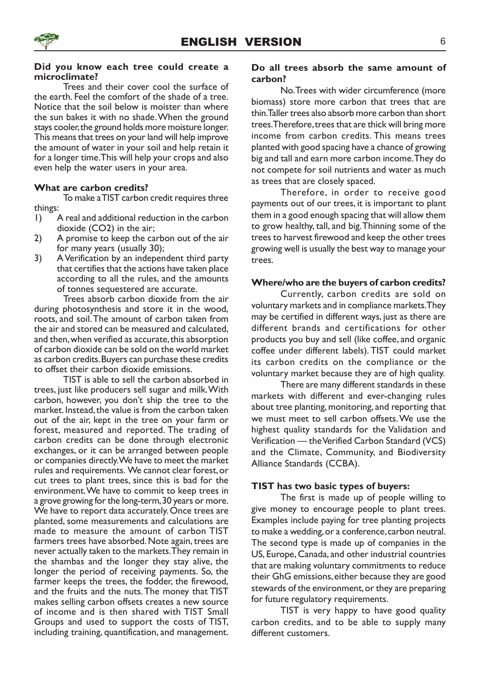### Did you know each tree could create a microclimate?

Trees and their cover cool the surface of the earth. Feel the comfort of the shade of a tree. Notice that the soil below is moister than where the sun bakes it with no shade. When the ground stays cooler, the ground holds more moisture longer. This means that trees on your land will help improve the amount of water in your soil and help retain it for a longer time. This will help your crops and also even help the water users in your area.

### What are carbon credits?

To make a TIST carbon credit requires three things:

- 1) A real and additional reduction in the carbon dioxide (CO2) in the air;
- 2) A promise to keep the carbon out of the air for many years (usually 30);
- 3) A Verification by an independent third party that certifies that the actions have taken place according to all the rules, and the amounts of tonnes sequestered are accurate.

Trees absorb carbon dioxide from the air during photosynthesis and store it in the wood, roots, and soil.The amount of carbon taken from the air and stored can be measured and calculated, and then, when verified as accurate, this absorption of carbon dioxide can be sold on the world market as carbon credits. Buyers can purchase these credits to offset their carbon dioxide emissions.

TIST is able to sell the carbon absorbed in trees, just like producers sell sugar and milk.With carbon, however, you don't ship the tree to the market. Instead, the value is from the carbon taken out of the air, kept in the tree on your farm or forest, measured and reported. The trading of carbon credits can be done through electronic exchanges, or it can be arranged between people or companies directly. We have to meet the market rules and requirements. We cannot clear forest, or cut trees to plant trees, since this is bad for the environment. We have to commit to keep trees in a grove growing for the long-term, 30 years or more. We have to report data accurately. Once trees are planted, some measurements and calculations are made to measure the amount of carbon TIST farmers trees have absorbed. Note again, trees are never actually taken to the markets.They remain in the shambas and the longer they stay alive, the longer the period of receiving payments. So, the farmer keeps the trees, the fodder, the firewood, and the fruits and the nuts.The money that TIST makes selling carbon offsets creates a new source of income and is then shared with TIST Small Groups and used to support the costs of TIST, including training, quantification, and management.

### Do all trees absorb the same amount of carbon?

No. Trees with wider circumference (more biomass) store more carbon that trees that are thin. Taller trees also absorb more carbon than short trees.Therefore, trees that are thick will bring more income from carbon credits. This means trees planted with good spacing have a chance of growing big and tall and earn more carbon income. They do not compete for soil nutrients and water as much as trees that are closely spaced.

Therefore, in order to receive good payments out of our trees, it is important to plant them in a good enough spacing that will allow them to grow healthy, tall, and big.Thinning some of the trees to harvest firewood and keep the other trees growing well is usually the best way to manage your trees.

### Where/who are the buyers of carbon credits?

Currently, carbon credits are sold on voluntary markets and in compliance markets.They may be certified in different ways, just as there are different brands and certifications for other products you buy and sell (like coffee, and organic coffee under different labels). TIST could market its carbon credits on the compliance or the voluntary market because they are of high quality.

There are many different standards in these markets with different and ever-changing rules about tree planting, monitoring, and reporting that we must meet to sell carbon offsets. We use the highest quality standards for the Validation and Verification — the Verified Carbon Standard (VCS) and the Climate, Community, and Biodiversity Alliance Standards (CCBA).

### TIST has two basic types of buyers:

The first is made up of people willing to give money to encourage people to plant trees. Examples include paying for tree planting projects to make a wedding, or a conference, carbon neutral. The second type is made up of companies in the US, Europe, Canada, and other industrial countries that are making voluntary commitments to reduce their GhG emissions, either because they are good stewards of the environment, or they are preparing for future regulatory requirements.

TIST is very happy to have good quality carbon credits, and to be able to supply many different customers.

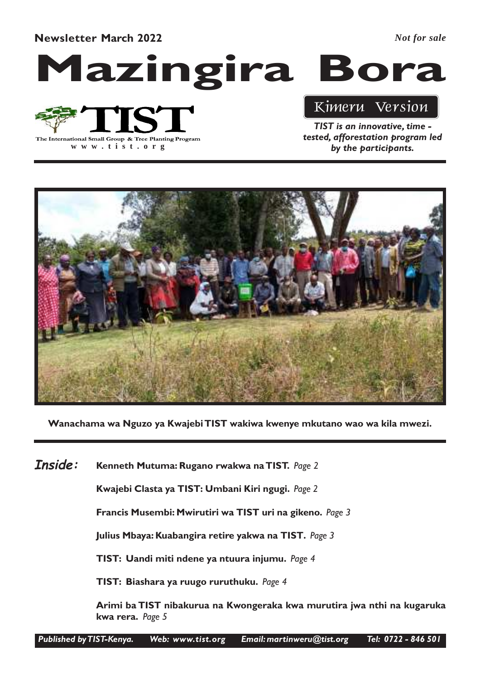Newsletter March 2022

*Not for sale*

# Mazingira Bora



**www .tist.org**

### Kimeru Version

TIST is an innovative, time tested, afforestation program led by the participants.



Wanachama wa Nguzo ya Kwajebi TIST wakiwa kwenye mkutano wao wa kila mwezi.

Kenneth Mutuma: Rugano rwakwa na TIST. Page 2 Inside:

Kwajebi Clasta ya TIST: Umbani Kiri ngugi. Page 2

Francis Musembi: Mwirutiri wa TIST uri na gikeno. Page 3

Julius Mbaya: Kuabangira retire yakwa na TIST. Page 3

TIST: Uandi miti ndene ya ntuura injumu. Page 4

TIST: Biashara ya ruugo ruruthuku. Page 4

Arimi ba TIST nibakurua na Kwongeraka kwa murutira jwa nthi na kugaruka kwa rera. Page 5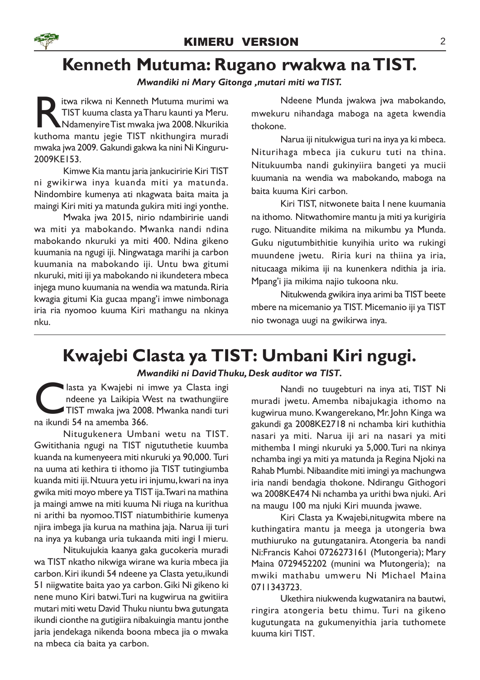### Kenneth Mutuma: Rugano rwakwa na TIST.

### Mwandiki ni Mary Gitonga ,mutari miti wa TIST.

Itwa rikwa ni Kenneth Mutuma murimi wa<br>TIST kuuma clasta ya Tharu kaunti ya Meru.<br>Kuthoma mantu jegie TIST nkithungira muradi itwa rikwa ni Kenneth Mutuma murimi wa TIST kuuma clasta ya Tharu kaunti ya Meru. Ndamenyire Tist mwaka jwa 2008. Nkurikia mwaka jwa 2009. Gakundi gakwa ka nini Ni Kinguru-2009KE153.

Kimwe Kia mantu jaria jankuciririe Kiri TIST ni gwikirwa inya kuanda miti ya matunda. Nindombire kumenya ati nkagwata baita maita ja maingi Kiri miti ya matunda gukira miti ingi yonthe.

Mwaka jwa 2015, nirio ndambiririe uandi wa miti ya mabokando. Mwanka nandi ndina mabokando nkuruki ya miti 400. Ndina gikeno kuumania na ngugi iji. Ningwataga marihi ja carbon kuumania na mabokando iji. Untu bwa gitumi nkuruki, miti iji ya mabokando ni ikundetera mbeca injega muno kuumania na wendia wa matunda. Riria kwagia gitumi Kia gucaa mpang'i imwe nimbonaga iria ria nyomoo kuuma Kiri mathangu na nkinya nku.

Ndeene Munda jwakwa jwa mabokando, mwekuru nihandaga maboga na ageta kwendia thokone.

Narua iji nitukwigua turi na inya ya ki mbeca. Niturihaga mbeca jia cukuru tuti na thina. Nitukuumba nandi gukinyiira bangeti ya mucii kuumania na wendia wa mabokando, maboga na baita kuuma Kiri carbon.

Kiri TIST, nitwonete baita I nene kuumania na ithomo. Nitwathomire mantu ja miti ya kurigiria rugo. Nituandite mikima na mikumbu ya Munda. Guku nigutumbithitie kunyihia urito wa rukingi muundene jwetu. Riria kuri na thiina ya iria, nitucaaga mikima iji na kunenkera ndithia ja iria. Mpang'i jia mikima najio tukoona nku.

Nitukwenda gwikira inya arimi ba TIST beete mbere na micemanio ya TIST. Micemanio iji ya TIST nio twonaga uugi na gwikirwa inya.

### Kwajebi Clasta ya TIST: Umbani Kiri ngugi.

### Mwandiki ni David Thuku, Desk auditor wa TIST.

asta ya Kwajebi ni<br>
ndeene ya Laikipia V<br>
TIST mwaka jwa 2006<br>
na ikundi 54 na amemba 366. lasta ya Kwajebi ni imwe ya Clasta ingi ndeene ya Laikipia West na twathungiire TIST mwaka jwa 2008. Mwanka nandi turi

Nitugukenera Umbani wetu na TIST. Gwitithania ngugi na TIST nigututhetie kuumba kuanda na kumenyeera miti nkuruki ya 90,000. Turi na uuma ati kethira ti ithomo jia TIST tutingiumba kuanda miti iji. Ntuura yetu iri injumu, kwari na inya gwika miti moyo mbere ya TIST ija. Twari na mathina ja maingi amwe na miti kuuma Ni riuga na kurithua ni arithi ba nyomoo.TIST niatumbithirie kumenya njira imbega jia kurua na mathina jaja. Narua iji turi na inya ya kubanga uria tukaanda miti ingi I mieru.

Nitukujukia kaanya gaka gucokeria muradi wa TIST nkatho nikwiga wirane wa kuria mbeca jia carbon. Kiri ikundi 54 ndeene ya Clasta yetu,ikundi 51 niigwatite baita yao ya carbon. Giki Ni gikeno ki nene muno Kiri batwi. Turi na kugwirua na gwitiira mutari miti wetu David Thuku niuntu bwa gutungata ikundi cionthe na gutigiira nibakuingia mantu jonthe jaria jendekaga nikenda boona mbeca jia o mwaka na mbeca cia baita ya carbon.

Nandi no tuugebturi na inya ati, TIST Ni muradi jwetu. Amemba nibajukagia ithomo na kugwirua muno. Kwangerekano, Mr. John Kinga wa gakundi ga 2008KE2718 ni nchamba kiri kuthithia nasari ya miti. Narua iji ari na nasari ya miti mithemba I mingi nkuruki ya 5,000. Turi na nkinya nchamba ingi ya miti ya matunda ja Regina Njoki na Rahab Mumbi. Nibaandite miti imingi ya machungwa iria nandi bendagia thokone. Ndirangu Githogori wa 2008KE474 Ni nchamba ya urithi bwa njuki. Ari na maugu 100 ma njuki Kiri muunda jwawe.

Kiri Clasta ya Kwajebi,nitugwita mbere na kuthingatira mantu ja meega ja utongeria bwa muthiuruko na gutungatanira. Atongeria ba nandi Ni:Francis Kahoi 0726273161 (Mutongeria); Mary Maina 0729452202 (munini wa Mutongeria); na mwiki mathabu umweru Ni Michael Maina 0711343723.

Ukethira niukwenda kugwatanira na bautwi, ringira atongeria betu thimu. Turi na gikeno kugutungata na gukumenyithia jaria tuthomete kuuma kiri TIST.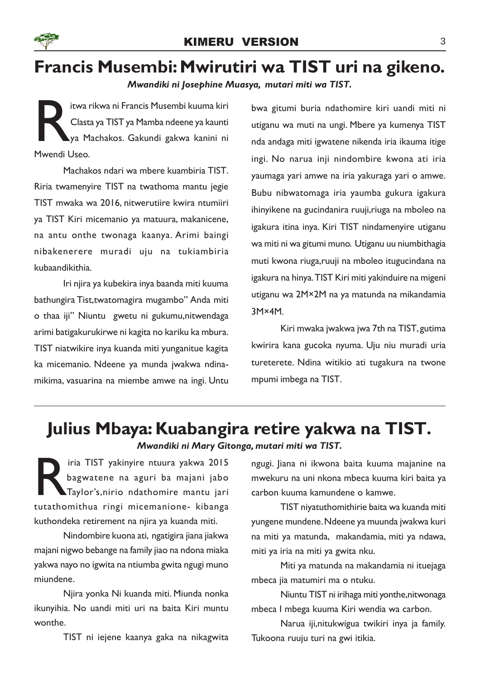

# Francis Musembi: Mwirutiri wa TIST uri na gikeno.

Mwandiki ni Josephine Muasya, mutari miti wa TIST.

Itwa<br>Clast<br>Mwendi Useo. itwa rikwa ni Francis Musembi kuuma kiri Clasta ya TIST ya Mamba ndeene ya kaunti ya Machakos. Gakundi gakwa kanini ni

Machakos ndari wa mbere kuambiria TIST. Riria twamenyire TIST na twathoma mantu jegie TIST mwaka wa 2016, nitwerutiire kwira ntumiiri ya TIST Kiri micemanio ya matuura, makanicene, na antu onthe twonaga kaanya. Arimi baingi nibakenerere muradi uju na tukiambiria kubaandikithia.

Iri njira ya kubekira inya baanda miti kuuma bathungira Tist,twatomagira mugambo" Anda miti o thaa iji" Niuntu gwetu ni gukumu,nitwendaga arimi batigakurukirwe ni kagita no kariku ka mbura. TIST niatwikire inya kuanda miti yunganitue kagita ka micemanio. Ndeene ya munda jwakwa ndinamikima, vasuarina na miembe amwe na ingi. Untu

bwa gitumi buria ndathomire kiri uandi miti ni utiganu wa muti na ungi. Mbere ya kumenya TIST nda andaga miti igwatene nikenda iria ikauma itige ingi. No narua inji nindombire kwona ati iria yaumaga yari amwe na iria yakuraga yari o amwe. Bubu nibwatomaga iria yaumba gukura igakura ihinyikene na gucindanira ruuji,riuga na mboleo na igakura itina inya. Kiri TIST nindamenyire utiganu wa miti ni wa gitumi muno. Utiganu uu niumbithagia muti kwona riuga,ruuji na mboleo itugucindana na igakura na hinya.TIST Kiri miti yakinduire na migeni utiganu wa 2M×2M na ya matunda na mikandamia 3M×4M.

Kiri mwaka jwakwa jwa 7th na TIST, gutima kwirira kana gucoka nyuma. Uju niu muradi uria tureterete. Ndina witikio ati tugakura na twone mpumi imbega na TIST.

### Julius Mbaya: Kuabangira retire yakwa na TIST.

Mwandiki ni Mary Gitonga, mutari miti wa TIST.

Firia TIST yakinyire ntuura yakwa 2015<br>bagwatene na aguri ba majani jabo<br>Taylor's,nirio ndathomire mantu jari<br>tutathomithua ringi micemanione- kibanga iria TIST yakinyire ntuura yakwa 2015 bagwatene na aguri ba majani jabo Taylor's,nirio ndathomire mantu jari kuthondeka retirement na njira ya kuanda miti.

Nindombire kuona ati, ngatigira jiana jiakwa majani nigwo bebange na family jiao na ndona miaka yakwa nayo no igwita na ntiumba gwita ngugi muno miundene.

Njira yonka Ni kuanda miti. Miunda nonka ikunyihia. No uandi miti uri na baita Kiri muntu wonthe.

TIST ni iejene kaanya gaka na nikagwita

ngugi. Jiana ni ikwona baita kuuma majanine na mwekuru na uni nkona mbeca kuuma kiri baita ya carbon kuuma kamundene o kamwe.

TIST niyatuthomithirie baita wa kuanda miti yungene mundene. Ndeene ya muunda jwakwa kuri na miti ya matunda, makandamia, miti ya ndawa, miti ya iria na miti ya gwita nku.

Miti ya matunda na makandamia ni ituejaga mbeca jia matumiri ma o ntuku.

Niuntu TIST ni irihaga miti yonthe,nitwonaga mbeca I mbega kuuma Kiri wendia wa carbon.

Narua iji,nitukwigua twikiri inya ja family. Tukoona ruuju turi na gwi itikia.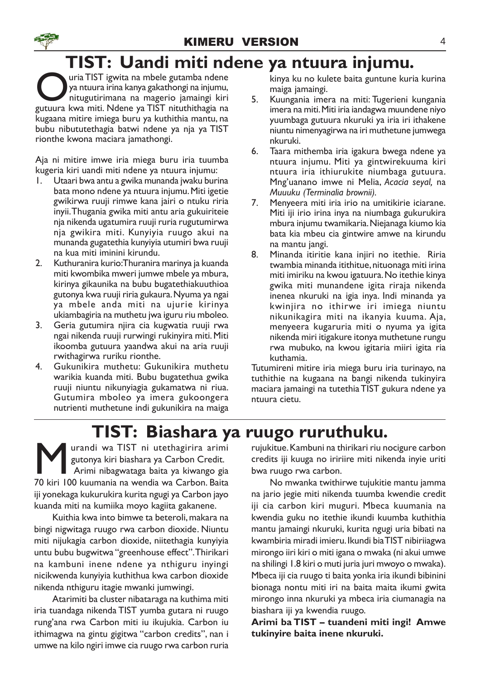# TIST: Uandi miti ndene ya ntuura injumu.

**O** uria TIST igwita na mbele gutamba ndene<br>pa ntuura irina kanya gakathongi na injumu,<br>nitugutirimana na magerio jamaingi kiri<br>gutuura kwa miti. Ndene ya TIST nituthithagia na uria TIST igwita na mbele gutamba ndene ya ntuura irina kanya gakathongi na injumu, nitugutirimana na magerio jamaingi kiri kugaana mitire imiega buru ya kuthithia mantu, na bubu nibututethagia batwi ndene ya nja ya TIST rionthe kwona maciara jamathongi.

Aja ni mitire imwe iria miega buru iria tuumba kugeria kiri uandi miti ndene ya ntuura injumu:

- 1. Utaari bwa antu a gwika munanda jwaku burina bata mono ndene ya ntuura injumu. Miti igetie gwikirwa ruuji rimwe kana jairi o ntuku riria inyii.Thugania gwika miti antu aria gukuiriteie nja nikenda ugatumira ruuji ruria rugutumirwa nja gwikira miti. Kunyiyia ruugo akui na munanda gugatethia kunyiyia utumiri bwa ruuji na kua miti iminini kirundu.
- 2. Kuthuranira kurio:Thuranira marinya ja kuanda miti kwombika mweri jumwe mbele ya mbura, kirinya gikaunika na bubu bugatethiakuuthioa gutonya kwa ruuji riria gukaura. Nyuma ya ngai ya mbele anda miti na ujurie kirinya ukiambagiria na muthetu jwa iguru riu mboleo.
- 3. Geria gutumira njira cia kugwatia ruuji rwa ngai nikenda ruuji rurwingi rukinyira miti. Miti ikoomba gutuura yaandwa akui na aria ruuji rwithagirwa ruriku rionthe.
- 4. Gukunikira muthetu: Gukunikira muthetu warikia kuanda miti. Bubu bugatethua gwika ruuji niuntu nikunyiagia gukamatwa ni riua. Gutumira mboleo ya imera gukoongera nutrienti muthetune indi gukunikira na maiga

kinya ku no kulete baita guntune kuria kurina maiga jamaingi.

- 5. Kuungania imera na miti: Tugerieni kungania imera na miti. Miti iria iandagwa muundene niyo yuumbaga gutuura nkuruki ya iria iri ithakene niuntu nimenyagirwa na iri muthetune jumwega nkuruki.
- 6. Taara mithemba iria igakura bwega ndene ya ntuura injumu. Miti ya gintwirekuuma kiri ntuura iria ithiurukite niumbaga gutuura. Mng'uanano imwe ni Melia, Acacia seyal, na Muuuku (Terminalia brownii).
- 7. Menyeera miti iria irio na umitikirie iciarane. Miti iji irio irina inya na niumbaga gukurukira mbura injumu twamikaria. Niejanaga kiumo kia bata kia mbeu cia gintwire amwe na kirundu na mantu jangi.
- 8. Minanda itiritie kana injiri no itethie. Riria twambia minanda itithitue, nituonaga miti irina miti imiriku na kwou igatuura. No itethie kinya gwika miti munandene igita riraja nikenda inenea nkuruki na igia inya. Indi minanda ya kwinjira no ithirwe iri imiega niuntu nikunikagira miti na ikanyia kuuma. Aja, menyeera kugaruria miti o nyuma ya igita nikenda miri itigakure itonya muthetune rungu rwa mubuko, na kwou igitaria miiri igita ria kuthamia.

Tutumireni mitire iria miega buru iria turinayo, na tuthithie na kugaana na bangi nikenda tukinyira maciara jamaingi na tutethia TIST gukura ndene ya ntuura cietu.

### TIST: Biashara ya ruugo ruruthuku.

**M** urandi wa TIST ni utethagirira arimi gutonya kiri biashara ya Carbon Credit.<br>Arimi nibagwataga baita ya kiwango gia<br>70 kiri 100 kuumania na wendia wa Carbon. Baita urandi wa TIST ni utethagirira arimi gutonya kiri biashara ya Carbon Credit. Arimi nibagwataga baita ya kiwango gia iji yonekaga kukurukira kurita ngugi ya Carbon jayo kuanda miti na kumiika moyo kagiita gakanene.

Kuithia kwa into bimwe ta beteroli, makara na bingi nigwitaga ruugo rwa carbon dioxide. Niuntu miti nijukagia carbon dioxide, niitethagia kunyiyia untu bubu bugwitwa "greenhouse effect".Thirikari na kambuni inene ndene ya nthiguru inyingi nicikwenda kunyiyia kuthithua kwa carbon dioxide nikenda nthiguru itagie mwanki jumwingi.

Atarimiti ba cluster nibataraga na kuthima miti iria tuandaga nikenda TIST yumba gutara ni ruugo rung'ana rwa Carbon miti iu ikujukia. Carbon iu ithimagwa na gintu gigitwa "carbon credits", nan i umwe na kilo ngiri imwe cia ruugo rwa carbon ruria

rujukitue. Kambuni na thirikari riu nocigure carbon credits iji kuuga no iririire miti nikenda inyie uriti bwa ruugo rwa carbon.

No mwanka twithirwe tujukitie mantu jamma na jario jegie miti nikenda tuumba kwendie credit iji cia carbon kiri muguri. Mbeca kuumania na kwendia guku no itethie ikundi kuumba kuthithia mantu jamaingi nkuruki, kurita ngugi uria bibati na kwambiria miradi imieru. Ikundi bia TIST nibiriiagwa mirongo iiri kiri o miti igana o mwaka (ni akui umwe na shilingi 1.8 kiri o muti juria juri mwoyo o mwaka). Mbeca iji cia ruugo ti baita yonka iria ikundi bibinini bionaga nontu miti iri na baita maita ikumi gwita mirongo inna nkuruki ya mbeca iria ciumanagia na biashara iji ya kwendia ruugo.

Arimi ba TIST – tuandeni miti ingi! Amwe tukinyire baita inene nkuruki.

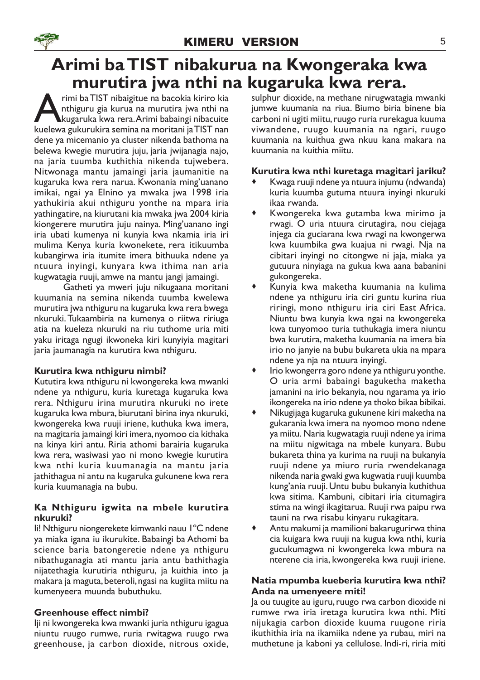### Arimi ba TIST nibakurua na Kwongeraka kwa murutira jwa nthi na kugaruka kwa rera.

rimi ba TIST nibaigitue na bacokia kiriro kia<br>hthiguru gia kurua na murutira jwa nthi na<br>kuelewa gukurukira semina na moritani ja TIST nan rimi ba TIST nibaigitue na bacokia kiriro kia nthiguru gia kurua na murutira jwa nthi na kugaruka kwa rera.Arimi babaingi nibacuite dene ya micemanio ya cluster nikenda bathoma na belewa kwegie murutira juju, jaria jwijanagia najo, na jaria tuumba kuthithia nikenda tujwebera. Nitwonaga mantu jamaingi jaria jaumanitie na kugaruka kwa rera narua. Kwonania ming'uanano imikai, ngai ya Elnino ya mwaka jwa 1998 iria yathukiria akui nthiguru yonthe na mpara iria yathingatire, na kiurutani kia mwaka jwa 2004 kiria kiongerere murutira juju nainya. Ming'uanano ingi iria ubati kumenya ni kunyia kwa nkamia iria iri mulima Kenya kuria kwonekete, rera itikuumba kubangirwa iria itumite imera bithuuka ndene ya ntuura inyingi, kunyara kwa ithima nan aria kugwatagia ruuji, amwe na mantu jangi jamaingi.

Gatheti ya mweri juju nikugaana moritani kuumania na semina nikenda tuumba kwelewa murutira jwa nthiguru na kugaruka kwa rera bwega nkuruki. Tukaambiria na kumenya o riitwa ririuga atia na kueleza nkuruki na riu tuthome uria miti yaku iritaga ngugi ikwoneka kiri kunyiyia magitari jaria jaumanagia na kurutira kwa nthiguru.

### Kurutira kwa nthiguru nimbi?

Kututira kwa nthiguru ni kwongereka kwa mwanki ndene ya nthiguru, kuria kuretaga kugaruka kwa rera. Nthiguru irina murutira nkuruki no irete kugaruka kwa mbura, biurutani birina inya nkuruki, kwongereka kwa ruuji iriene, kuthuka kwa imera, na magitaria jamaingi kiri imera, nyomoo cia kithaka na kinya kiri antu. Riria athomi barairia kugaruka kwa rera, wasiwasi yao ni mono kwegie kurutira kwa nthi kuria kuumanagia na mantu jaria jathithagua ni antu na kugaruka gukunene kwa rera kuria kuumanagia na bubu.

### Ka Nthiguru igwita na mbele kurutira nkuruki?

Ii! Nthiguru niongerekete kimwanki nauu 1ºC ndene ya miaka igana iu ikurukite. Babaingi ba Athomi ba science baria batongeretie ndene ya nthiguru nibathuganagia ati mantu jaria antu bathithagia nijatethagia kurutiria nthiguru, ja kuithia into ja makara ja maguta, beteroli, ngasi na kugiita miitu na kumenyeera muunda bubuthuku.

### Greenhouse effect nimbi?

Iji ni kwongereka kwa mwanki juria nthiguru igagua niuntu ruugo rumwe, ruria rwitagwa ruugo rwa greenhouse, ja carbon dioxide, nitrous oxide, sulphur dioxide, na methane nirugwatagia mwanki jumwe kuumania na riua. Biumo biria binene bia carboni ni ugiti miitu, ruugo ruria rurekagua kuuma viwandene, ruugo kuumania na ngari, ruugo kuumania na kuithua gwa nkuu kana makara na kuumania na kuithia miitu.

### Kurutira kwa nthi kuretaga magitari jariku?

- · Kwaga ruuji ndene ya ntuura injumu (ndwanda) kuria kuumba gutuma ntuura inyingi nkuruki ikaa rwanda.
- · Kwongereka kwa gutamba kwa mirimo ja rwagi. O uria ntuura cirutagira, nou ciejaga injega cia guciarana kwa rwagi na kwongerwa kwa kuumbika gwa kuajua ni rwagi. Nja na cibitari inyingi no citongwe ni jaja, miaka ya gutuura ninyiaga na gukua kwa aana babanini gukongereka.
- · Kunyia kwa maketha kuumania na kulima ndene ya nthiguru iria ciri guntu kurina riua riringi, mono nthiguru iria ciri East Africa. Niuntu bwa kunyia kwa ngai na kwongereka kwa tunyomoo turia tuthukagia imera niuntu bwa kurutira, maketha kuumania na imera bia irio no janyie na bubu bukareta ukia na mpara ndene ya nja na ntuura inyingi.
- · Irio kwongerra goro ndene ya nthiguru yonthe. O uria armi babaingi baguketha maketha jamanini na irio bekanyia, nou ngarama ya irio ikongereka na irio ndene ya thoko bikaa bibikai.
- · Nikugijaga kugaruka gukunene kiri maketha na gukarania kwa imera na nyomoo mono ndene ya miitu. Naria kugwatagia ruuji ndene ya irima na miitu nigwitaga na mbele kunyara. Bubu bukareta thina ya kurima na ruuji na bukanyia ruuji ndene ya miuro ruria rwendekanaga nikenda naria gwaki gwa kugwatia ruuji kuumba kung'ania ruuji. Untu bubu bukanyia kuthithua kwa sitima. Kambuni, cibitari iria citumagira stima na wingi ikagitarua. Ruuji rwa paipu rwa tauni na rwa risabu kinyaru rukagitara.
- · Antu makumi ja mamilioni bakarugurirwa thina cia kuigara kwa ruuji na kugua kwa nthi, kuria gucukumagwa ni kwongereka kwa mbura na nterene cia iria, kwongereka kwa ruuji iriene.

### Natia mpumba kueberia kurutira kwa nthi? Anda na umenyeere miti!

Ja ou tuugite au iguru, ruugo rwa carbon dioxide ni rumwe rwa iria iretaga kurutira kwa nthi. Miti nijukagia carbon dioxide kuuma ruugone riria ikuthithia iria na ikamiika ndene ya rubau, miri na muthetune ja kaboni ya cellulose. Indi-ri, riria miti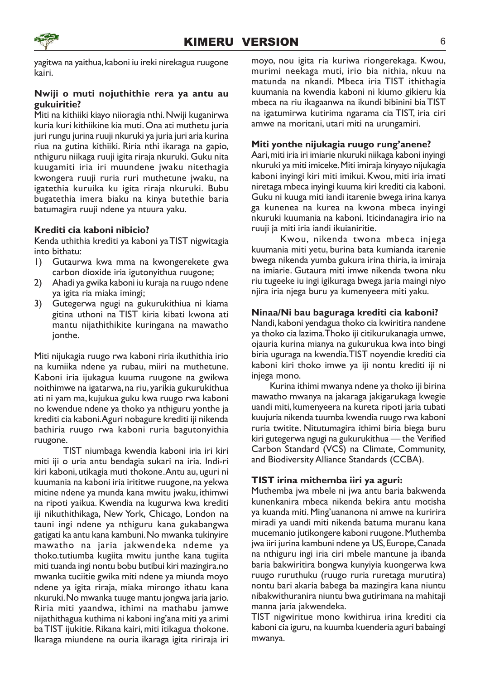

yagitwa na yaithua, kaboni iu ireki nirekagua ruugone kairi.

### Nwiji o muti nojuthithie rera ya antu au gukuiritie?

Miti na kithiiki kiayo niioragia nthi. Nwiji kuganirwa kuria kuri kithiikine kia muti. Ona ati muthetu juria juri rungu jurina ruuji nkuruki ya juria juri aria kurina riua na gutina kithiiki. Riria nthi ikaraga na gapio, nthiguru niikaga ruuji igita riraja nkuruki. Guku nita kuugamiti iria iri muundene jwaku nitethagia kwongera ruuji ruria ruri muthetune jwaku, na igatethia kuruika ku igita riraja nkuruki. Bubu bugatethia imera biaku na kinya butethie baria batumagira ruuji ndene ya ntuura yaku.

### Krediti cia kaboni nibicio?

Kenda uthithia krediti ya kaboni ya TIST nigwitagia into bithatu:

- 1) Gutaurwa kwa mma na kwongerekete gwa carbon dioxide iria igutonyithua ruugone;
- 2) Ahadi ya gwika kaboni iu kuraja na ruugo ndene ya igita ria miaka imingi;
- 3) Gutegerwa ngugi na gukurukithiua ni kiama gitina uthoni na TIST kiria kibati kwona ati mantu nijathithikite kuringana na mawatho jonthe.

Miti nijukagia ruugo rwa kaboni riria ikuthithia irio na kumiika ndene ya rubau, miiri na muthetune. Kaboni iria ijukagua kuuma ruugone na gwikwa noithimwe na igatarwa, na riu, yarikia gukurukithua ati ni yam ma, kujukua guku kwa ruugo rwa kaboni no kwendue ndene ya thoko ya nthiguru yonthe ja krediti cia kaboni.Aguri nobagure krediti iji nikenda bathiria ruugo rwa kaboni ruria bagutonyithia ruugone.

TIST niumbaga kwendia kaboni iria iri kiri miti iji o uria antu bendagia sukari na iria. Indi-ri kiri kaboni, utikagia muti thokone. Antu au, uguri ni kuumania na kaboni iria irititwe ruugone, na yekwa mitine ndene ya munda kana mwitu jwaku, ithimwi na ripoti yaikua. Kwendia na kugurwa kwa krediti iji nikuthithikaga, New York, Chicago, London na tauni ingi ndene ya nthiguru kana gukabangwa gatigati ka antu kana kambuni. No mwanka tukinyire mawatho na jaria jakwendeka ndeme ya thoko.tutiumba kugiita mwitu junthe kana tugiita miti tuanda ingi nontu bobu butibui kiri mazingira.no mwanka tuciitie gwika miti ndene ya miunda moyo ndene ya igita riraja, miaka mirongo ithatu kana nkuruki. No mwanka tuuge mantu jongwa jaria jario. Riria miti yaandwa, ithimi na mathabu jamwe nijathithagua kuthima ni kaboni ing'ana miti ya arimi ba TIST ijukitie. Rikana kairi, miti itikagua thokone. Ikaraga miundene na ouria ikaraga igita ririraja iri

moyo, nou igita ria kuriwa riongerekaga. Kwou, murimi neekaga muti, irio bia nithia, nkuu na matunda na nkandi. Mbeca iria TIST ithithagia kuumania na kwendia kaboni ni kiumo gikieru kia mbeca na riu ikagaanwa na ikundi bibinini bia TIST na igatumirwa kutirima ngarama cia TIST, iria ciri amwe na moritani, utari miti na urungamiri.

#### Miti yonthe nijukagia ruugo rung'anene?

Aari, miti iria iri imiarie nkuruki niikaga kaboni inyingi nkuruki ya miti imiceke. Miti imiraja kinyayo nijukagia kaboni inyingi kiri miti imikui. Kwou, miti iria imati niretaga mbeca inyingi kuuma kiri krediti cia kaboni. Guku ni kuuga miti iandi itarenie bwega irina kanya ga kunenea na kurea na kwona mbeca inyingi nkuruki kuumania na kaboni. Iticindanagira irio na ruuji ja miti iria iandi ikuianiritie.

Kwou, nikenda twona mbeca injega kuumania miti yetu, burina bata kumianda itarenie bwega nikenda yumba gukura irina thiria, ia imiraja na imiarie. Gutaura miti imwe nikenda twona nku riu tugeeke iu ingi igikuraga bwega jaria maingi niyo njira iria njega buru ya kumenyeera miti yaku.

### Ninaa/Ni bau baguraga krediti cia kaboni?

Nandi, kaboni yendagua thoko cia kwiritira nandene ya thoko cia lazima.Thoko iji citikurukanagia umwe, ojauria kurina mianya na gukurukua kwa into bingi biria uguraga na kwendia.TIST noyendie krediti cia kaboni kiri thoko imwe ya iji nontu krediti iji ni injega mono.

Kurina ithimi mwanya ndene ya thoko iji birina mawatho mwanya na jakaraga jakigarukaga kwegie uandi miti, kumenyeera na kureta ripoti jaria tubati kuujuria nikenda tuumba kwendia ruugo rwa kaboni ruria twitite. Nitutumagira ithimi biria biega buru kiri gutegerwa ngugi na gukurukithua — the Verified Carbon Standard (VCS) na Climate, Community, and Biodiversity Alliance Standards (CCBA).

### TIST irina mithemba iiri ya aguri:

Muthemba jwa mbele ni jwa antu baria bakwenda kunenkanira mbeca nikenda bekira antu motisha ya kuanda miti. Ming'uananona ni amwe na kuririra miradi ya uandi miti nikenda batuma muranu kana mucemanio jutikongere kaboni ruugone. Muthemba jwa iiri jurina kambuni ndene ya US, Europe, Canada na nthiguru ingi iria ciri mbele mantune ja ibanda baria bakwiritira bongwa kunyiyia kuongerwa kwa ruugo ruruthuku (ruugo ruria ruretaga murutira) nontu bari akaria babega ba mazingira kana niuntu nibakwithuranira niuntu bwa gutirimana na mahitaji manna jaria jakwendeka.

TIST nigwiritue mono kwithirua irina krediti cia kaboni cia iguru, na kuumba kuenderia aguri babaingi mwanya.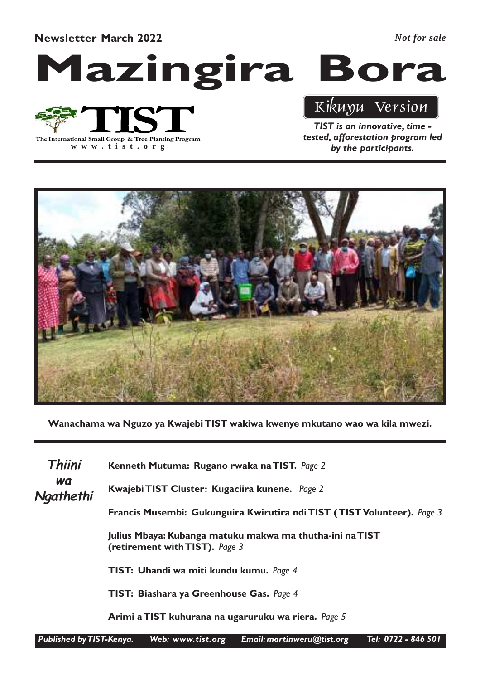Newsletter March 2022

*Not for sale*

Mazingira Bora



**www .tist.org**

### Kikuyu Version

TIST is an innovative, time tested, afforestation program led by the participants.



Wanachama wa Nguzo ya Kwajebi TIST wakiwa kwenye mkutano wao wa kila mwezi.

Kenneth Mutuma: Rugano rwaka na TIST. Page 2 Kwajebi TIST Cluster: Kugaciira kunene. Page 2 Francis Musembi: Gukunguira Kwirutira ndi TIST ( TIST Volunteer). Page 3 Julius Mbaya: Kubanga matuku makwa ma thutha-ini na TIST (retirement with TIST). Page 3 TIST: Uhandi wa miti kundu kumu. Page 4 TIST: Biashara ya Greenhouse Gas. Page 4 Arimi a TIST kuhurana na ugaruruku wa riera. Page 5 Thiini wa **Ngathethi**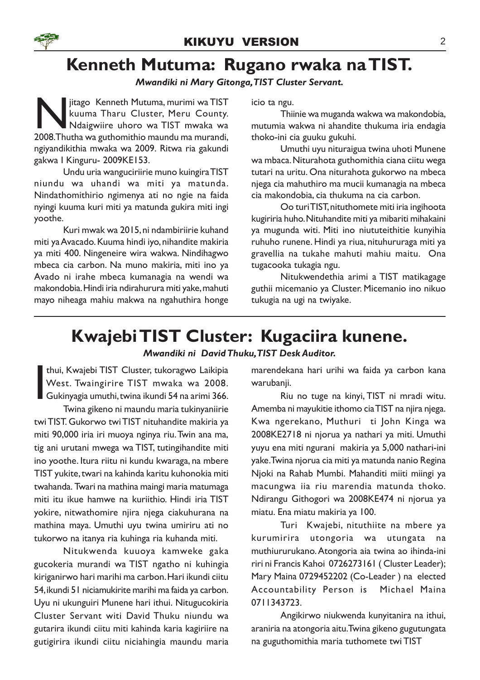# Kenneth Mutuma: Rugano rwaka na TIST.

### Mwandiki ni Mary Gitonga,TIST Cluster Servant.

Sitago Kenneth Mutuma, murimi wa TIST<br>
kuuma Tharu Cluster, Meru County.<br>
Ndaigwiire uhoro wa TIST mwaka wa<br>
2008.Thutha wa guthomithio maundu ma murandi, jitago Kenneth Mutuma, murimi wa TIST kuuma Tharu Cluster, Meru County. Ndaigwiire uhoro wa TIST mwaka wa ngiyandikithia mwaka wa 2009. Ritwa ria gakundi gakwa I Kinguru- 2009KE153.

Undu uria wanguciriirie muno kuingira TIST niundu wa uhandi wa miti ya matunda. Nindathomithirio ngimenya ati no ngie na faida nyingi kuuma kuri miti ya matunda gukira miti ingi yoothe.

Kuri mwak wa 2015, ni ndambiriirie kuhand miti ya Avacado. Kuuma hindi iyo, nihandite makiria ya miti 400. Ningeneire wira wakwa. Nindihagwo mbeca cia carbon. Na muno makiria, miti ino ya Avado ni irahe mbeca kumanagia na wendi wa makondobia. Hindi iria ndirahurura miti yake, mahuti mayo niheaga mahiu makwa na ngahuthira honge icio ta ngu.

Thiinie wa muganda wakwa wa makondobia, mutumia wakwa ni ahandite thukuma iria endagia thoko-ini cia guuku gukuhi.

Umuthi uyu nituraigua twina uhoti Munene wa mbaca. Niturahota guthomithia ciana ciitu wega tutari na uritu. Ona niturahota gukorwo na mbeca njega cia mahuthiro ma mucii kumanagia na mbeca cia makondobia, cia thukuma na cia carbon.

Oo turi TIST, nituthomete miti iria ingihoota kugiriria huho. Nituhandite miti ya mibariti mihakaini ya mugunda witi. Miti ino niututeithitie kunyihia ruhuho runene. Hindi ya riua, nituhururaga miti ya gravellia na tukahe mahuti mahiu maitu. Ona tugacooka tukagia ngu.

Nitukwendethia arimi a TIST matikagage guthii micemanio ya Cluster. Micemanio ino nikuo tukugia na ugi na twiyake.

### Kwajebi TIST Cluster: Kugaciira kunene.

### Mwandiki ni David Thuku,TIST Desk Auditor.

I thui, Kwajebi TIST Cluster, tukoragwo Laikipia West. Twaingirire TIST mwaka wa 2008. Gukinyagia umuthi, twina ikundi 54 na arimi 366.

Twina gikeno ni maundu maria tukinyaniirie twi TIST. Gukorwo twi TIST nituhandite makiria ya miti 90,000 iria iri muoya nginya riu. Twin ana ma, tig ani urutani mwega wa TIST, tutingihandite miti ino yoothe. Itura riitu ni kundu kwaraga, na mbere TIST yukite, twari na kahinda karitu kuhonokia miti twahanda. Twari na mathina maingi maria matumaga miti itu ikue hamwe na kuriithio. Hindi iria TIST yokire, nitwathomire njira njega ciakuhurana na mathina maya. Umuthi uyu twina umiriru ati no tukorwo na itanya ria kuhinga ria kuhanda miti.

Nitukwenda kuuoya kamweke gaka gucokeria murandi wa TIST ngatho ni kuhingia kiriganirwo hari marihi ma carbon. Hari ikundi ciitu 54, ikundi 51 niciamukirite marihi ma faida ya carbon. Uyu ni ukunguiri Munene hari ithui. Nitugucokiria Cluster Servant witi David Thuku niundu wa gutarira ikundi ciitu miti kahinda karia kagiriire na gutigirira ikundi ciitu niciahingia maundu maria marendekana hari urihi wa faida ya carbon kana warubanii.

Riu no tuge na kinyi, TIST ni mradi witu. Amemba ni mayukitie ithomo cia TIST na njira njega. Kwa ngerekano, Muthuri ti John Kinga wa 2008KE2718 ni njorua ya nathari ya miti. Umuthi yuyu ena miti ngurani makiria ya 5,000 nathari-ini yake. Twina njorua cia miti ya matunda nanio Regina Njoki na Rahab Mumbi. Mahanditi miiti miingi ya macungwa iia riu marendia matunda thoko. Ndirangu Githogori wa 2008KE474 ni njorua ya miatu. Ena miatu makiria ya 100.

Turi Kwajebi, nituthiite na mbere ya kurumirira utongoria wa utungata na muthiururukano. Atongoria aia twina ao ihinda-ini riri ni Francis Kahoi 0726273161 ( Cluster Leader); Mary Maina 0729452202 (Co-Leader ) na elected Accountability Person is Michael Maina 0711343723.

Angikirwo niukwenda kunyitanira na ithui, araniria na atongoria aitu. Twina gikeno gugutungata na guguthomithia maria tuthomete twi TIST

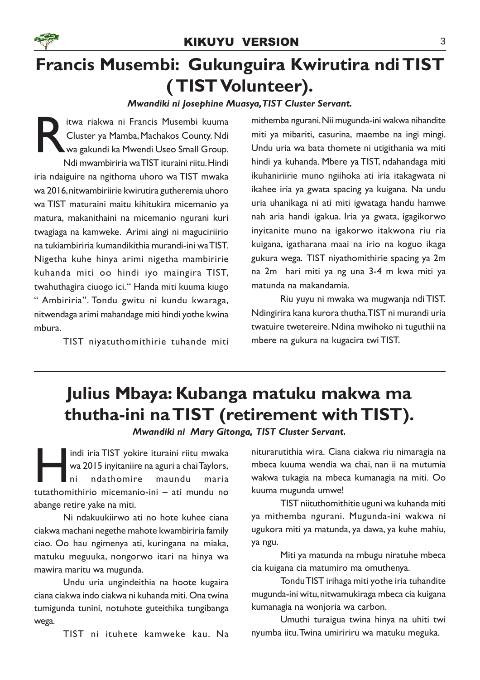

# Francis Musembi: Gukunguira Kwirutira ndi TIST ( TIST Volunteer).

### Mwandiki ni Josephine Muasya,TIST Cluster Servant.

R itwa riakwa ni Francis Musembi kuuma Cluster ya Mamba, Machakos County. Ndi wa gakundi ka Mwendi Useo Small Group. Ndi mwambiriria wa TIST ituraini riitu. Hindi iria ndaiguire na ngithoma uhoro wa TIST mwaka wa 2016, nitwambiriirie kwirutira gutheremia uhoro wa TIST maturaini maitu kihitukira micemanio ya matura, makanithaini na micemanio ngurani kuri twagiaga na kamweke. Arimi aingi ni maguciriirio na tukiambiriria kumandikithia murandi-ini wa TIST. Nigetha kuhe hinya arimi nigetha mambiririe kuhanda miti oo hindi iyo maingira TIST, twahuthagira ciuogo ici." Handa miti kuuma kiugo " Ambiriria". Tondu gwitu ni kundu kwaraga, nitwendaga arimi mahandage miti hindi yothe kwina mbura.

TIST niyatuthomithirie tuhande miti

mithemba ngurani. Nii mugunda-ini wakwa nihandite miti ya mibariti, casurina, maembe na ingi mingi. Undu uria wa bata thomete ni utigithania wa miti hindi ya kuhanda. Mbere ya TIST, ndahandaga miti ikuhaniriirie muno ngiihoka ati iria itakagwata ni ikahee iria ya gwata spacing ya kuigana. Na undu uria uhanikaga ni ati miti igwataga handu hamwe nah aria handi igakua. Iria ya gwata, igagikorwo inyitanite muno na igakorwo itakwona riu ria kuigana, igatharana maai na irio na koguo ikaga gukura wega. TIST niyathomithirie spacing ya 2m na 2m hari miti ya ng una 3-4 m kwa miti ya matunda na makandamia.

Riu yuyu ni mwaka wa mugwanja ndi TIST. Ndingirira kana kurora thutha.TIST ni murandi uria twatuire twetereire. Ndina mwihoko ni tuguthii na mbere na gukura na kugacira twi TIST.

# Julius Mbaya: Kubanga matuku makwa ma thutha-ini na TIST (retirement with TIST).

Mwandiki ni Mary Gitonga, TIST Cluster Servant.

Indi iria TIST yokire ituraini riitu mwaka<br>
wa 2015 inyitaniire na aguri a chai Taylors,<br>
ni ndathomire maundu maria<br>
tutathomithirio micemanio-ini – ati mundu no indi iria TIST yokire ituraini riitu mwaka wa 2015 inyitaniire na aguri a chai Taylors, ni ndathomire maundu maria abange retire yake na miti.

Ni ndakuukiirwo ati no hote kuhee ciana ciakwa machani negethe mahote kwambiriria family ciao. Oo hau ngimenya ati, kuringana na miaka, matuku meguuka, nongorwo itari na hinya wa mawira maritu wa mugunda.

Undu uria ungindeithia na hoote kugaira ciana ciakwa indo ciakwa ni kuhanda miti. Ona twina tumigunda tunini, notuhote guteithika tungibanga wega.

TIST ni ituhete kamweke kau. Na

niturarutithia wira. Ciana ciakwa riu nimaragia na mbeca kuuma wendia wa chai, nan ii na mutumia wakwa tukagia na mbeca kumanagia na miti. Oo kuuma mugunda umwe!

TIST niituthomithitie uguni wa kuhanda miti ya mithemba ngurani. Mugunda-ini wakwa ni ugukora miti ya matunda, ya dawa, ya kuhe mahiu, ya ngu.

Miti ya matunda na mbugu niratuhe mbeca cia kuigana cia matumiro ma omuthenya.

Tondu TIST irihaga miti yothe iria tuhandite mugunda-ini witu, nitwamukiraga mbeca cia kuigana kumanagia na wonjoria wa carbon.

Umuthi turaigua twina hinya na uhiti twi nyumba iitu. Twina umiririru wa matuku meguka.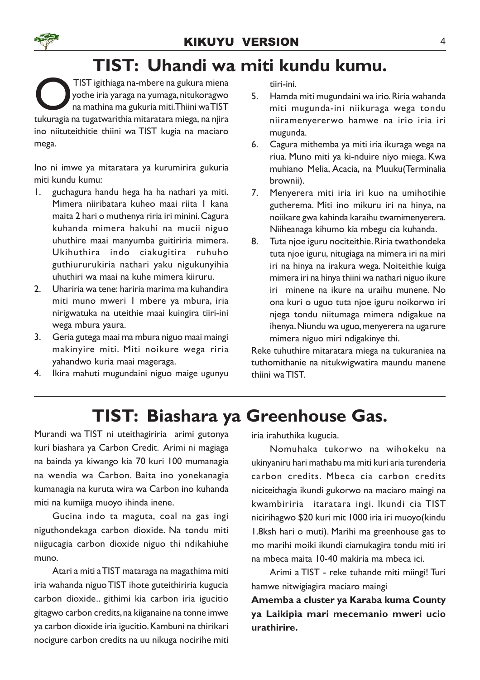# TIST: Uhandi wa miti kundu kumu.

TIST igithiaga na-mbere na gukura miena<br>yothe iria yaraga na yumaga, nitukoragwo<br>na mathina ma gukuria miti. Thiini wa TIST<br>tukuragia na tugatwarithia mitaratara miega, na njira TIST igithiaga na-mbere na gukura miena yothe iria yaraga na yumaga, nitukoragwo na mathina ma gukuria miti.Thiini wa TIST ino niituteithitie thiini wa TIST kugia na maciaro mega.

Ino ni imwe ya mitaratara ya kurumirira gukuria miti kundu kumu:

- 1. guchagura handu hega ha ha nathari ya miti. Mimera niiribatara kuheo maai riita 1 kana maita 2 hari o muthenya riria iri minini. Cagura kuhanda mimera hakuhi na mucii niguo uhuthire maai manyumba guitiriria mimera. Ukihuthira indo ciakugitira ruhuho guthiururukiria nathari yaku nigukunyihia uhuthiri wa maai na kuhe mimera kiiruru.
- 2. Uhariria wa tene: hariria marima ma kuhandira miti muno mweri 1 mbere ya mbura, iria nirigwatuka na uteithie maai kuingira tiiri-ini wega mbura yaura.
- 3. Geria gutega maai ma mbura niguo maai maingi makinyire miti. Miti noikure wega riria yahandwo kuria maai mageraga.
- 4. Ikira mahuti mugundaini niguo maige ugunyu

tiiri-ini.

- 5. Hamda miti mugundaini wa irio. Riria wahanda miti mugunda-ini niikuraga wega tondu niiramenyererwo hamwe na irio iria iri mugunda.
- 6. Cagura mithemba ya miti iria ikuraga wega na riua. Muno miti ya ki-nduire niyo miega. Kwa muhiano Melia, Acacia, na Muuku(Terminalia brownii).
- 7. Menyerera miti iria iri kuo na umihotihie gutherema. Miti ino mikuru iri na hinya, na noiikare gwa kahinda karaihu twamimenyerera. Niiheanaga kihumo kia mbegu cia kuhanda.
- 8. Tuta njoe iguru nociteithie. Riria twathondeka tuta njoe iguru, nitugiaga na mimera iri na miri iri na hinya na irakura wega. Noiteithie kuiga mimera iri na hinya thiini wa nathari niguo ikure iri minene na ikure na uraihu munene. No ona kuri o uguo tuta njoe iguru noikorwo iri njega tondu niitumaga mimera ndigakue na ihenya. Niundu wa uguo, menyerera na ugarure mimera niguo miri ndigakinye thi.

Reke tuhuthire mitaratara miega na tukuraniea na tuthomithanie na nitukwigwatira maundu manene thiini wa TIST.

# TIST: Biashara ya Greenhouse Gas.

Murandi wa TIST ni uteithagiriria arimi gutonya kuri biashara ya Carbon Credit. Arimi ni magiaga na bainda ya kiwango kia 70 kuri 100 mumanagia na wendia wa Carbon. Baita ino yonekanagia kumanagia na kuruta wira wa Carbon ino kuhanda miti na kumiiga muoyo ihinda inene.

Gucina indo ta maguta, coal na gas ingi niguthondekaga carbon dioxide. Na tondu miti niigucagia carbon dioxide niguo thi ndikahiuhe muno.

Atari a miti a TIST mataraga na magathima miti iria wahanda niguo TIST ihote guteithiriria kugucia carbon dioxide.. githimi kia carbon iria igucitio gitagwo carbon credits, na kiiganaine na tonne imwe ya carbon dioxide iria igucitio. Kambuni na thirikari nocigure carbon credits na uu nikuga nocirihe miti iria irahuthika kugucia.

Nomuhaka tukorwo na wihokeku na ukinyaniru hari mathabu ma miti kuri aria turenderia carbon credits. Mbeca cia carbon credits niciteithagia ikundi gukorwo na maciaro maingi na kwambiriria itaratara ingi. Ikundi cia TIST nicirihagwo \$20 kuri mit 1000 iria iri muoyo(kindu 1.8ksh hari o muti). Marihi ma greenhouse gas to mo marihi moiki ikundi ciamukagira tondu miti iri na mbeca maita 10-40 makiria ma mbeca ici.

Arimi a TIST - reke tuhande miti miingi! Turi hamwe nitwigiagira maciaro maingi

Amemba a cluster ya Karaba kuma County ya Laikipia mari mecemanio mweri ucio urathirire.

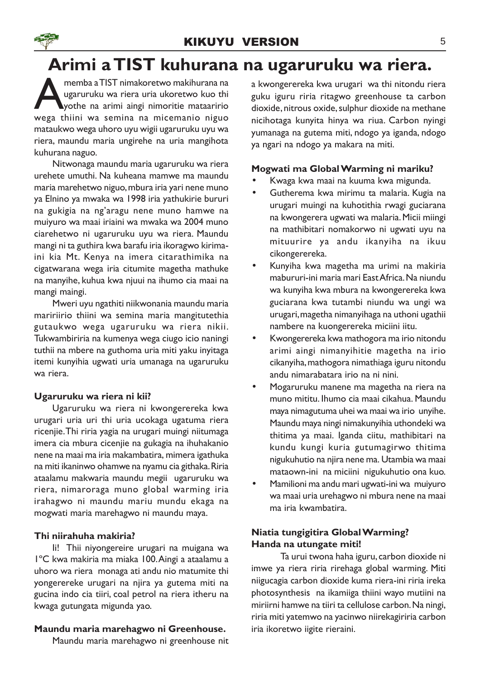# Arimi a TIST kuhurana na ugaruruku wa riera.

memba a TIST nimakoretwo makihurana na ugaruruku wa riera uria ukoretwo kuo thi<br>wega thiini wa semina na micemanio niguo memba a TIST nimakoretwo makihurana na ugaruruku wa riera uria ukoretwo kuo thi yothe na arimi aingi nimoritie mataaririo mataukwo wega uhoro uyu wigii ugaruruku uyu wa riera, maundu maria ungirehe na uria mangihota kuhurana naguo.

Nitwonaga maundu maria ugaruruku wa riera urehete umuthi. Na kuheana mamwe ma maundu maria marehetwo niguo, mbura iria yari nene muno ya Elnino ya mwaka wa 1998 iria yathukirie bururi na gukigia na ng'aragu nene muno hamwe na muiyuro wa maai iriaini wa mwaka wa 2004 muno ciarehetwo ni ugaruruku uyu wa riera. Maundu mangi ni ta guthira kwa barafu iria ikoragwo kirimaini kia Mt. Kenya na imera citarathimika na cigatwarana wega iria citumite magetha mathuke na manyihe, kuhua kwa njuui na ihumo cia maai na mangi maingi.

Mweri uyu ngathiti niikwonania maundu maria maririirio thiini wa semina maria mangitutethia gutaukwo wega ugaruruku wa riera nikii. Tukwambiriria na kumenya wega ciugo icio naningi tuthii na mbere na guthoma uria miti yaku inyitaga itemi kunyihia ugwati uria umanaga na ugaruruku wa riera.

### Ugaruruku wa riera ni kii?

Ugaruruku wa riera ni kwongerereka kwa urugari uria uri thi uria ucokaga ugatuma riera ricenjie. Thi riria yagia na urugari muingi niitumaga imera cia mbura cicenjie na gukagia na ihuhakanio nene na maai ma iria makambatira, mimera igathuka na miti ikaninwo ohamwe na nyamu cia githaka. Riria ataalamu makwaria maundu megii ugaruruku wa riera, nimaroraga muno global warming iria irahagwo ni maundu mariu mundu ekaga na mogwati maria marehagwo ni maundu maya.

### Thi niirahuha makiria?

Ii! Thii niyongereire urugari na muigana wa 1ºC kwa makiria ma miaka 100.Aingi a ataalamu a uhoro wa riera monaga ati andu nio matumite thi yongerereke urugari na njira ya gutema miti na gucina indo cia tiiri, coal petrol na riera itheru na kwaga gutungata migunda yao.

### Maundu maria marehagwo ni Greenhouse.

Maundu maria marehagwo ni greenhouse nit

a kwongerereka kwa urugari wa thi nitondu riera guku iguru riria ritagwo greenhouse ta carbon dioxide, nitrous oxide, sulphur dioxide na methane nicihotaga kunyita hinya wa riua. Carbon nyingi yumanaga na gutema miti, ndogo ya iganda, ndogo ya ngari na ndogo ya makara na miti.

### Mogwati ma Global Warming ni mariku?

- Kwaga kwa maai na kuuma kwa migunda.
- Gutherema kwa mirimu ta malaria. Kugia na urugari muingi na kuhotithia rwagi guciarana na kwongerera ugwati wa malaria. Micii miingi na mathibitari nomakorwo ni ugwati uyu na mituurire ya andu ikanyiha na ikuu cikongerereka.
- Kunyiha kwa magetha ma urimi na makiria mabururi-ini maria mari East Africa. Na niundu wa kunyiha kwa mbura na kwongerereka kwa guciarana kwa tutambi niundu wa ungi wa urugari, magetha nimanyihaga na uthoni ugathii nambere na kuongerereka miciini iitu.
- Kwongerereka kwa mathogora ma irio nitondu arimi aingi nimanyihitie magetha na irio cikanyiha, mathogora nimathiaga iguru nitondu andu nimarabatara irio na ni nini.
- Mogaruruku manene ma magetha na riera na muno mititu. Ihumo cia maai cikahua. Maundu maya nimagutuma uhei wa maai wa irio unyihe. Maundu maya ningi nimakunyihia uthondeki wa thitima ya maai. Iganda ciitu, mathibitari na kundu kungi kuria gutumagirwo thitima nigukuhutio na njira nene ma. Utambia wa maai mataown-ini na miciini nigukuhutio ona kuo.
- Mamilioni ma andu mari ugwati-ini wa muiyuro wa maai uria urehagwo ni mbura nene na maai ma iria kwambatira.

### Niatia tungigitira Global Warming? Handa na utungate miti!

Ta urui twona haha iguru, carbon dioxide ni imwe ya riera riria rirehaga global warming. Miti niigucagia carbon dioxide kuma riera-ini riria ireka photosynthesis na ikamiiga thiini wayo mutiini na miriirni hamwe na tiiri ta cellulose carbon. Na ningi, riria miti yatemwo na yacinwo niirekagiriria carbon iria ikoretwo iigite rieraini.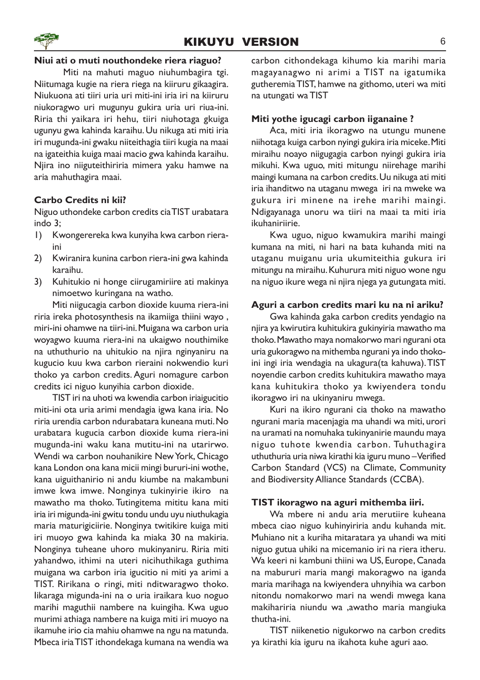### Niui ati o muti nouthondeke riera riaguo?

Miti na mahuti maguo niuhumbagira tgi. Niitumaga kugie na riera riega na kiiruru gikaagira. Niukuona ati tiiri uria uri miti-ini iria iri na kiiruru niukoragwo uri mugunyu gukira uria uri riua-ini. Riria thi yaikara iri hehu, tiiri niuhotaga gkuiga ugunyu gwa kahinda karaihu. Uu nikuga ati miti iria iri mugunda-ini gwaku niiteithagia tiiri kugia na maai na igateithia kuiga maai macio gwa kahinda karaihu. Njira ino niiguteithiriria mimera yaku hamwe na aria mahuthagira maai.

### Carbo Credits ni kii?

Niguo uthondeke carbon credits cia TIST urabatara indo 3;

- 1) Kwongerereka kwa kunyiha kwa carbon rieraini
- 2) Kwiranira kunina carbon riera-ini gwa kahinda karaihu.
- 3) Kuhitukio ni honge ciirugamiriire ati makinya nimoetwo kuringana na watho.

Miti niigucagia carbon dioxide kuuma riera-ini riria ireka photosynthesis na ikamiiga thiini wayo , miri-ini ohamwe na tiiri-ini. Muigana wa carbon uria woyagwo kuuma riera-ini na ukaigwo nouthimike na uthuthurio na uhitukio na njira nginyaniru na kugucio kuu kwa carbon rieraini nokwendio kuri thoko ya carbon credits. Aguri nomagure carbon credits ici niguo kunyihia carbon dioxide.

TIST iri na uhoti wa kwendia carbon iriaigucitio miti-ini ota uria arimi mendagia igwa kana iria. No riria urendia carbon ndurabatara kuneana muti. No urabatara kugucia carbon dioxide kuma riera-ini mugunda-ini waku kana mutitu-ini na utarirwo. Wendi wa carbon nouhanikire New York, Chicago kana London ona kana micii mingi bururi-ini wothe, kana uiguithanirio ni andu kiumbe na makambuni imwe kwa imwe. Nonginya tukinyirie ikiro na mawatho ma thoko. Tutingitema mititu kana miti iria iri migunda-ini gwitu tondu undu uyu niuthukagia maria maturigiciirie. Nonginya twitikire kuiga miti iri muoyo gwa kahinda ka miaka 30 na makiria. Nonginya tuheane uhoro mukinyaniru. Riria miti yahandwo, ithimi na uteri nicihuthikaga guthima muigana wa carbon iria igucitio ni miti ya arimi a TIST. Ririkana o ringi, miti nditwaragwo thoko. Iikaraga migunda-ini na o uria iraikara kuo noguo marihi maguthii nambere na kuingiha. Kwa uguo murimi athiaga nambere na kuiga miti iri muoyo na ikamuhe irio cia mahiu ohamwe na ngu na matunda. Mbeca iria TIST ithondekaga kumana na wendia wa carbon cithondekaga kihumo kia marihi maria magayanagwo ni arimi a TIST na igatumika gutheremia TIST, hamwe na githomo, uteri wa miti na utungati wa TIST

#### Miti yothe igucagi carbon iiganaine ?

Aca, miti iria ikoragwo na utungu munene niihotaga kuiga carbon nyingi gukira iria miceke. Miti miraihu noayo niigugagia carbon nyingi gukira iria mikuhi. Kwa uguo, miti mitungu niirehage marihi maingi kumana na carbon credits. Uu nikuga ati miti iria ihanditwo na utaganu mwega iri na mweke wa gukura iri minene na irehe marihi maingi. Ndigayanaga unoru wa tiiri na maai ta miti iria ikuhaniriirie.

Kwa uguo, niguo kwamukira marihi maingi kumana na miti, ni hari na bata kuhanda miti na utaganu muiganu uria ukumiteithia gukura iri mitungu na miraihu. Kuhurura miti niguo wone ngu na niguo ikure wega ni njira njega ya gutungata miti.

### Aguri a carbon credits mari ku na ni ariku?

Gwa kahinda gaka carbon credits yendagio na njira ya kwirutira kuhitukira gukinyiria mawatho ma thoko. Mawatho maya nomakorwo mari ngurani ota uria gukoragwo na mithemba ngurani ya indo thokoini ingi iria wendagia na ukagura(ta kahuwa).TIST noyendie carbon credits kuhitukira mawatho maya kana kuhitukira thoko ya kwiyendera tondu ikoragwo iri na ukinyaniru mwega.

Kuri na ikiro ngurani cia thoko na mawatho ngurani maria macenjagia ma uhandi wa miti, urori na uramati na nomuhaka tukinyanirie maundu maya niguo tuhote kwendia carbon. Tuhuthagira uthuthuria uria niwa kirathi kia iguru muno – Verified Carbon Standard (VCS) na Climate, Community and Biodiversity Alliance Standards (CCBA).

#### TIST ikoragwo na aguri mithemba iiri.

Wa mbere ni andu aria merutiire kuheana mbeca ciao niguo kuhinyiriria andu kuhanda mit. Muhiano nit a kuriha mitaratara ya uhandi wa miti niguo gutua uhiki na micemanio iri na riera itheru. Wa keeri ni kambuni thiini wa US, Europe, Canada na mabururi maria mangi makoragwo na iganda maria marihaga na kwiyendera uhnyihia wa carbon nitondu nomakorwo mari na wendi mwega kana makihariria niundu wa ,awatho maria mangiuka thutha-ini.

TIST niikenetio nigukorwo na carbon credits ya kirathi kia iguru na ikahota kuhe aguri aao.

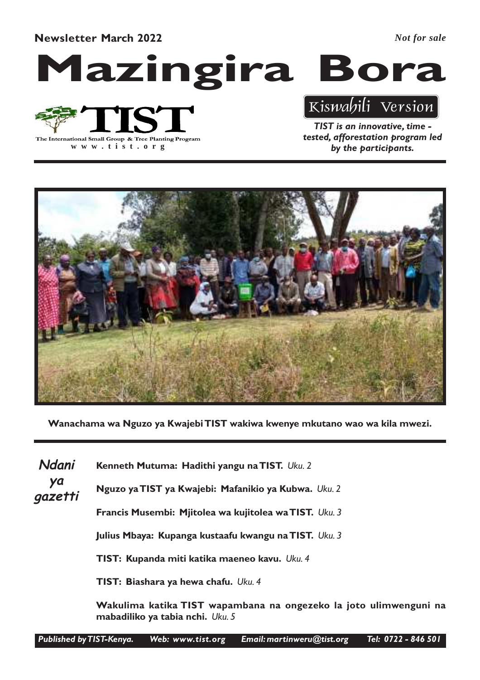Newsletter March 2022

*Not for sale*





**www .tist.org**

TIST is an innovative, time - Kiswahili Version

tested, afforestation program led by the participants.



Wanachama wa Nguzo ya Kwajebi TIST wakiwa kwenye mkutano wao wa kila mwezi.

Kenneth Mutuma: Hadithi yangu na TIST. Uku. 2 Nguzo ya TIST ya Kwajebi: Mafanikio ya Kubwa. Uku. 2 Francis Musembi: Mjitolea wa kujitolea wa TIST. Uku. 3 Julius Mbaya: Kupanga kustaafu kwangu na TIST. Uku. 3 TIST: Kupanda miti katika maeneo kavu. Uku. 4 TIST: Biashara ya hewa chafu. Uku. 4 Ndani ya gazetti

Wakulima katika TIST wapambana na ongezeko la joto ulimwenguni na mabadiliko ya tabia nchi. Uku. 5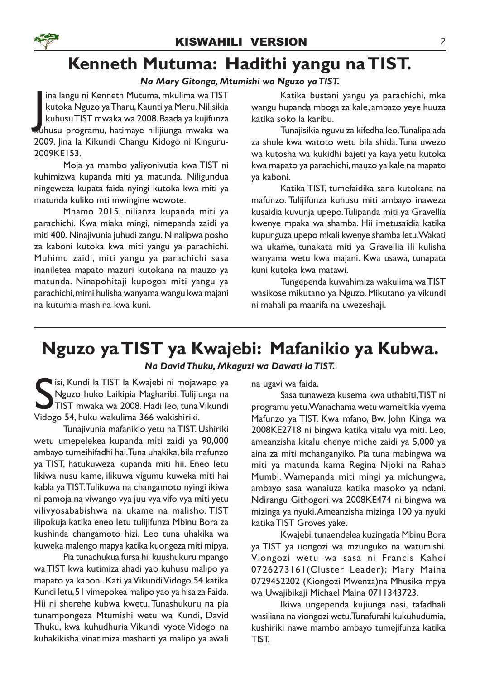### Kenneth Mutuma: Hadithi yangu na TIST.

### Na Mary Gitonga, Mtumishi wa Nguzo ya TIST.

ina langu ni Kenneth Mutuma, mkulima wa TIST<br>kutoka Nguzo ya Tharu, Kaunti ya Meru. Nilisikia<br>kuhusu TIST mwaka wa 2008. Baada ya kujifunza<br>kuhusu programu, hatimaye nilijiunga mwaka wa ina langu ni Kenneth Mutuma, mkulima wa TIST kutoka Nguzo ya Tharu, Kaunti ya Meru. Nilisikia kuhusu TIST mwaka wa 2008. Baada ya kujifunza 2009. Jina la Kikundi Changu Kidogo ni Kinguru-2009KE153.

Moja ya mambo yaliyonivutia kwa TIST ni kuhimizwa kupanda miti ya matunda. Niligundua ningeweza kupata faida nyingi kutoka kwa miti ya matunda kuliko mti mwingine wowote.

Mnamo 2015, nilianza kupanda miti ya parachichi. Kwa miaka mingi, nimepanda zaidi ya miti 400. Ninajivunia juhudi zangu. Ninalipwa posho za kaboni kutoka kwa miti yangu ya parachichi. Muhimu zaidi, miti yangu ya parachichi sasa inaniletea mapato mazuri kutokana na mauzo ya matunda. Ninapohitaji kupogoa miti yangu ya parachichi, mimi hulisha wanyama wangu kwa majani na kutumia mashina kwa kuni.

Katika bustani yangu ya parachichi, mke wangu hupanda mboga za kale, ambazo yeye huuza katika soko la karibu.

Tunajisikia nguvu za kifedha leo. Tunalipa ada za shule kwa watoto wetu bila shida. Tuna uwezo wa kutosha wa kukidhi bajeti ya kaya yetu kutoka kwa mapato ya parachichi, mauzo ya kale na mapato ya kaboni.

Katika TIST, tumefaidika sana kutokana na mafunzo. Tulijifunza kuhusu miti ambayo inaweza kusaidia kuvunja upepo. Tulipanda miti ya Gravellia kwenye mpaka wa shamba. Hii imetusaidia katika kupunguza upepo mkali kwenye shamba letu. Wakati wa ukame, tunakata miti ya Gravellia ili kulisha wanyama wetu kwa majani. Kwa usawa, tunapata kuni kutoka kwa matawi.

Tungependa kuwahimiza wakulima wa TIST wasikose mikutano ya Nguzo. Mikutano ya vikundi ni mahali pa maarifa na uwezeshaji.

### Nguzo ya TIST ya Kwajebi: Mafanikio ya Kubwa.

### Na David Thuku, Mkaguzi wa Dawati la TIST.

Sisi, Kundi la TIST la Kwajebi ni mojav<br>Nguzo huko Laikipia Magharibi. Tulijii<br>TIST mwaka wa 2008. Hadi leo, tuna<br>Vidogo 54, huku wakulima 366 wakishiriki. isi, Kundi la TIST la Kwajebi ni mojawapo ya Nguzo huko Laikipia Magharibi. Tulijiunga na TIST mwaka wa 2008. Hadi leo, tuna Vikundi

Tunajivunia mafanikio yetu na TIST. Ushiriki wetu umepelekea kupanda miti zaidi ya 90,000 ambayo tumeihifadhi hai. Tuna uhakika, bila mafunzo ya TIST, hatukuweza kupanda miti hii. Eneo letu likiwa nusu kame, ilikuwa vigumu kuweka miti hai kabla ya TIST. Tulikuwa na changamoto nyingi ikiwa ni pamoja na viwango vya juu vya vifo vya miti yetu vilivyosababishwa na ukame na malisho. TIST ilipokuja katika eneo letu tulijifunza Mbinu Bora za kushinda changamoto hizi. Leo tuna uhakika wa kuweka malengo mapya katika kuongeza miti mipya.

Pia tunachukua fursa hii kuushukuru mpango wa TIST kwa kutimiza ahadi yao kuhusu malipo ya mapato ya kaboni. Kati ya Vikundi Vidogo 54 katika Kundi letu, 51 vimepokea malipo yao ya hisa za Faida. Hii ni sherehe kubwa kwetu. Tunashukuru na pia tunampongeza Mtumishi wetu wa Kundi, David Thuku, kwa kuhudhuria Vikundi vyote Vidogo na kuhakikisha vinatimiza masharti ya malipo ya awali

na ugavi wa faida.

Sasa tunaweza kusema kwa uthabiti,TIST ni programu yetu. Wanachama wetu wameitikia vyema Mafunzo ya TIST. Kwa mfano, Bw. John Kinga wa 2008KE2718 ni bingwa katika vitalu vya miti. Leo, ameanzisha kitalu chenye miche zaidi ya 5,000 ya aina za miti mchanganyiko. Pia tuna mabingwa wa miti ya matunda kama Regina Njoki na Rahab Mumbi. Wamepanda miti mingi ya michungwa, ambayo sasa wanaiuza katika masoko ya ndani. Ndirangu Githogori wa 2008KE474 ni bingwa wa mizinga ya nyuki.Ameanzisha mizinga 100 ya nyuki katika TIST Groves yake.

Kwajebi, tunaendelea kuzingatia Mbinu Bora ya TIST ya uongozi wa mzunguko na watumishi. Viongozi wetu wa sasa ni Francis Kahoi 0726273161(Cluster Leader); Mary Maina 0729452202 (Kiongozi Mwenza)na Mhusika mpya wa Uwajibikaji Michael Maina 0711343723.

Ikiwa ungependa kujiunga nasi, tafadhali wasiliana na viongozi wetu. Tunafurahi kukuhudumia, kushiriki nawe mambo ambayo tumejifunza katika TIST.

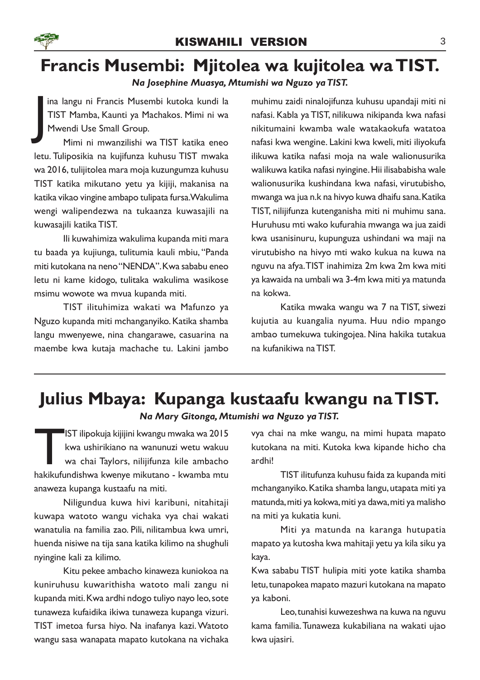### Francis Musembi: Mjitolea wa kujitolea wa TIST. Na Josephine Muasya, Mtumishi wa Nguzo ya TIST.

J ina langu ni Francis Musembi kutoka kundi la TIST Mamba, Kaunti ya Machakos. Mimi ni wa Mwendi Use Small Group.

Mimi ni mwanzilishi wa TIST katika eneo letu. Tuliposikia na kujifunza kuhusu TIST mwaka wa 2016, tulijitolea mara moja kuzungumza kuhusu TIST katika mikutano yetu ya kijiji, makanisa na katika vikao vingine ambapo tulipata fursa. Wakulima wengi walipendezwa na tukaanza kuwasajili na kuwasajili katika TIST.

Ili kuwahimiza wakulima kupanda miti mara tu baada ya kujiunga, tulitumia kauli mbiu, "Panda miti kutokana na neno "NENDA". Kwa sababu eneo letu ni kame kidogo, tulitaka wakulima wasikose msimu wowote wa mvua kupanda miti.

TIST ilituhimiza wakati wa Mafunzo ya Nguzo kupanda miti mchanganyiko. Katika shamba langu mwenyewe, nina changarawe, casuarina na maembe kwa kutaja machache tu. Lakini jambo

muhimu zaidi ninalojifunza kuhusu upandaji miti ni nafasi. Kabla ya TIST, nilikuwa nikipanda kwa nafasi nikitumaini kwamba wale watakaokufa watatoa nafasi kwa wengine. Lakini kwa kweli, miti iliyokufa ilikuwa katika nafasi moja na wale walionusurika walikuwa katika nafasi nyingine. Hii ilisababisha wale walionusurika kushindana kwa nafasi, virutubisho, mwanga wa jua n.k na hivyo kuwa dhaifu sana. Katika TIST, nilijifunza kutenganisha miti ni muhimu sana. Huruhusu mti wako kufurahia mwanga wa jua zaidi kwa usanisinuru, kupunguza ushindani wa maji na virutubisho na hivyo mti wako kukua na kuwa na nguvu na afya.TIST inahimiza 2m kwa 2m kwa miti ya kawaida na umbali wa 3-4m kwa miti ya matunda na kokwa.

Katika mwaka wangu wa 7 na TIST, siwezi kujutia au kuangalia nyuma. Huu ndio mpango ambao tumekuwa tukingojea. Nina hakika tutakua na kufanikiwa na TIST.

# Julius Mbaya: Kupanga kustaafu kwangu na TIST.

Na Mary Gitonga, Mtumishi wa Nguzo ya TIST.

IST ilipokuja kijijini kwangu mwaka wa 2015<br>kwa ushirikiano na wanunuzi wetu wakuu<br>wa chai Taylors, nilijifunza kile ambacho<br>hakikufundishwa kwenye mikutano - kwamba mtu IST ilipokuja kijijini kwangu mwaka wa 2015 kwa ushirikiano na wanunuzi wetu wakuu wa chai Taylors, nilijifunza kile ambacho anaweza kupanga kustaafu na miti.

Niligundua kuwa hivi karibuni, nitahitaji kuwapa watoto wangu vichaka vya chai wakati wanatulia na familia zao. Pili, nilitambua kwa umri, huenda nisiwe na tija sana katika kilimo na shughuli nyingine kali za kilimo.

Kitu pekee ambacho kinaweza kuniokoa na kuniruhusu kuwarithisha watoto mali zangu ni kupanda miti. Kwa ardhi ndogo tuliyo nayo leo, sote tunaweza kufaidika ikiwa tunaweza kupanga vizuri. TIST imetoa fursa hiyo. Na inafanya kazi. Watoto wangu sasa wanapata mapato kutokana na vichaka vya chai na mke wangu, na mimi hupata mapato kutokana na miti. Kutoka kwa kipande hicho cha ardhi!

TIST ilitufunza kuhusu faida za kupanda miti mchanganyiko. Katika shamba langu, utapata miti ya matunda, miti ya kokwa, miti ya dawa, miti ya malisho na miti ya kukatia kuni.

Miti ya matunda na karanga hutupatia mapato ya kutosha kwa mahitaji yetu ya kila siku ya kaya.

Kwa sababu TIST hulipia miti yote katika shamba letu, tunapokea mapato mazuri kutokana na mapato ya kaboni.

Leo, tunahisi kuwezeshwa na kuwa na nguvu kama familia. Tunaweza kukabiliana na wakati ujao kwa ujasiri.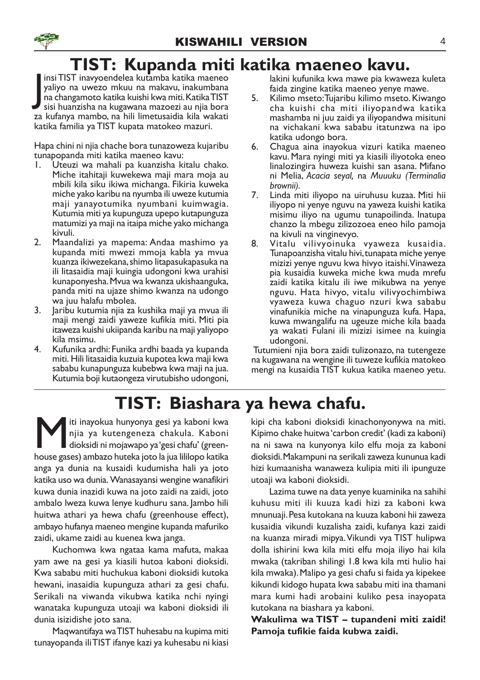# TIST: Kupanda miti katika maeneo kavu.

insi TIST inavyoendelea kutamba katika maeneo yaliyo na uwezo mkuu na makavu, inakumbana na changamoto katika kuishi kwa miti. Katika TIST sisi huanzisha na kugawana mazoezi au njia bora insi TIST inavyoendelea kutamba katika maeneo yaliyo na uwezo mkuu na makavu, inakumbana na changamoto katika kuishi kwa miti. Katika TIST za kufanya mambo, na hili limetusaidia kila wakati katika familia ya TIST kupata matokeo mazuri.

Hapa chini ni njia chache bora tunazoweza kujaribu tunapopanda miti katika maeneo kavu:

- 1. Uteuzi wa mahali pa kuanzisha kitalu chako. Miche itahitaji kuwekewa maji mara moja au mbili kila siku ikiwa michanga. Fikiria kuweka miche yako karibu na nyumba ili uweze kutumia maji yanayotumika nyumbani kuimwagia. Kutumia miti ya kupunguza upepo kutapunguza matumizi ya maji na itaipa miche yako michanga kivuli.
- 2. Maandalizi ya mapema: Andaa mashimo ya kupanda miti mwezi mmoja kabla ya mvua kuanza ikiwezekana, shimo litapasukapasuka na ili litasaidia maji kuingia udongoni kwa urahisi kunaponyesha. Mvua wa kwanza ukishaanguka, panda miti na ujaze shimo kwanza na udongo wa juu halafu mbolea.
- 3. Jaribu kutumia njia za kushika maji ya mvua ili maji mengi zaidi yaweze kufikia miti. Miti pia itaweza kuishi ukiipanda karibu na maji yaliyopo kila msimu.
- 4. Kufunika ardhi: Funika ardhi baada ya kupanda miti. Hili litasaidia kuzuia kupotea kwa maji kwa sababu kunapunguza kubebwa kwa maji na jua. Kutumia boji kutaongeza virutubisho udongoni,

lakini kufunika kwa mawe pia kwaweza kuleta faida zingine katika maeneo yenye mawe.

- 5. Kilimo mseto: Tujaribu kilimo mseto. Kiwango cha kuishi cha miti iliyopandwa katika mashamba ni juu zaidi ya iliyopandwa misituni na vichakani kwa sababu itatunzwa na ipo katika udongo bora.
- 6. Chagua aina inayokua vizuri katika maeneo kavu. Mara nyingi miti ya kiasili iliyotoka eneo linalozingira huweza kuishi san asana. Mifano ni Melia, Acacia seyal, na Muuuku (Terminalia brownii).
- 7. Linda miti iliyopo na uiruhusu kuzaa. Miti hii iliyopo ni yenye nguvu na yaweza kuishi katika misimu iliyo na ugumu tunapoilinda. Inatupa chanzo la mbegu zilizozoea eneo hilo pamoja na kivuli na vinginevyo.
- 8. Vitalu vilivyoinuka vyaweza kusaidia. Tunapoanzisha vitalu hivi, tunapata miche yenye mizizi yenye nguvu kwa hivyo itaishi.Vinaweza pia kusaidia kuweka miche kwa muda mrefu zaidi katika kitalu ili iwe mikubwa na yenye nguvu. Hata hivyo, vitalu vilivyochimbiwa vyaweza kuwa chaguo nzuri kwa sababu vinafunikia miche na vinapunguza kufa. Hapa, kuwa mwangalifu na ugeuze miche kila baada ya wakati Fulani ili mizizi isimee na kuingia udongoni.

 Tutumieni njia bora zaidi tulizonazo, na tutengeze na kugawana na wengine ili tuweze kufikia matokeo mengi na kusaidia TIST kukua katika maeneo yetu.

# TIST: Biashara ya hewa chafu.

Miti inayokua hunyonya gesi ya kaboni kwa njia ya kutengeneza chakula. Kaboni dioksidi ni mojawapo ya 'gesi chafu' (greenhouse gases) ambazo huteka joto la jua lililopo katika iti inayokua hunyonya gesi ya kaboni kwa njia ya kutengeneza chakula. Kaboni dioksidi ni mojawapo ya 'gesi chafu' (greenanga ya dunia na kusaidi kudumisha hali ya joto katika uso wa dunia. Wanasayansi wengine wanafikiri kuwa dunia inazidi kuwa na joto zaidi na zaidi, joto ambalo lweza kuwa lenye kudhuru sana. Jambo hili huitwa athari ya hewa chafu (greenhouse effect), ambayo hufanya maeneo mengine kupanda mafuriko zaidi, ukame zaidi au kuenea kwa janga.

Kuchomwa kwa ngataa kama mafuta, makaa yam awe na gesi ya kiasili hutoa kaboni dioksidi. Kwa sababu miti huchukua kaboni dioksidi kutoka hewani, inasaidia kupunguza athari za gesi chafu. Serikali na viwanda vikubwa katika nchi nyingi wanataka kupunguza utoaji wa kaboni dioksidi ili dunia isizidishe joto sana.

Maqwantifaya wa TIST huhesabu na kupima miti tunayopanda ili TIST ifanye kazi ya kuhesabu ni kiasi

kipi cha kaboni dioksidi kinachonyonywa na miti. Kipimo chake huitwa 'carbon credit' (kadi za kaboni) na ni sawa na kunyonya kilo elfu moja za kaboni dioksidi. Makampuni na serikali zaweza kununua kadi hizi kumaanisha wanaweza kulipia miti ili ipunguze utoaji wa kaboni dioksidi.

Lazima tuwe na data yenye kuaminika na sahihi kuhusu miti ili kuuza kadi hizi za kaboni kwa mnunuaji. Pesa kutokana na kuuza kaboni hii zaweza kusaidia vikundi kuzalisha zaidi, kufanya kazi zaidi na kuanza miradi mipya.Vikundi vya TIST hulipwa dolla ishirini kwa kila miti elfu moja iliyo hai kila mwaka (takriban shilingi 1.8 kwa kila mti hulio hai kila mwaka). Malipo ya gesi chafu si faida ya kipekee kikundi kidogo hupata kwa sababu miti ina thamani mara kumi hadi arobaini kuliko pesa inayopata kutokana na biashara ya kaboni.

Wakulima wa TIST – tupandeni miti zaidi! Pamoja tufikie faida kubwa zaidi.

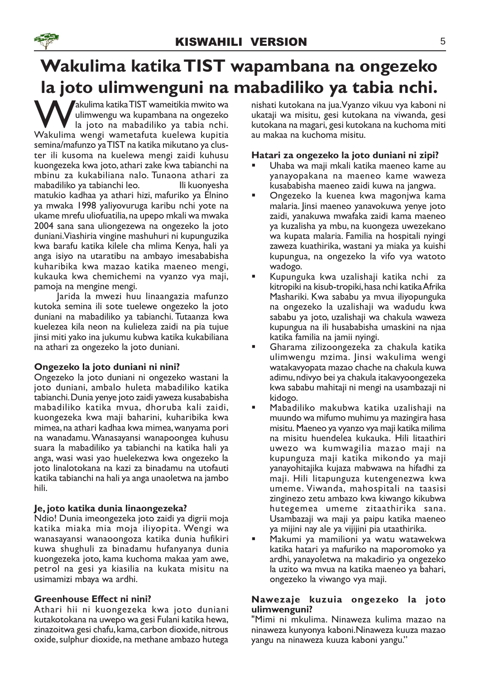# Wakulima katika TIST wapambana na ongezeko la joto ulimwenguni na mabadiliko ya tabia nchi.

Wakulima katika TIST wameitikia mwito wa<br>ulimwengu wa kupambana na ongezeko<br>Wakulima wengi wametafuta kuelewa kupitia akulima katika TIST wameitikia mwito wa<br>ulimwengu wa kupambana na ongezeko la joto na mabadiliko ya tabia nchi. Wakulima wengi wametafuta kuelewa kupitia semina/mafunzo ya TIST na katika mikutano ya cluster ili kusoma na kuelewa mengi zaidi kuhusu kuongezeka kwa joto, athari zake kwa tabianchi na mbinu za kukabiliana nalo. Tunaona athari za mabadiliko ya tabianchi leo. Ili kuonyesha matukio kadhaa ya athari hizi, mafuriko ya Elnino ya mwaka 1998 yaliyovuruga karibu nchi yote na ukame mrefu uliofuatilia, na upepo mkali wa mwaka 2004 sana sana uliongezewa na ongezeko la joto duniani.Viashiria vingine mashuhuri ni kupunguzika kwa barafu katika kilele cha mlima Kenya, hali ya anga isiyo na utaratibu na ambayo imesababisha kuharibika kwa mazao katika maeneo mengi, kukauka kwa chemichemi na vyanzo vya maji, pamoja na mengine mengi.

Jarida la mwezi huu linaangazia mafunzo kutoka semina ili sote tuelewe ongezeko la joto duniani na mabadiliko ya tabianchi. Tutaanza kwa kuelezea kila neon na kulieleza zaidi na pia tujue jinsi miti yako ina jukumu kubwa katika kukabiliana na athari za ongezeko la joto duniani.

### Ongezeko la joto duniani ni nini?

Ongezeko la joto duniani ni ongezeko wastani la joto duniani, ambalo huleta mabadiliko katika tabianchi. Dunia yenye joto zaidi yaweza kusababisha mabadiliko katika mvua, dhoruba kali zaidi, kuongezeka kwa maji baharini, kuharibika kwa mimea, na athari kadhaa kwa mimea, wanyama pori na wanadamu. Wanasayansi wanapoongea kuhusu suara la mabadiliko ya tabianchi na katika hali ya anga, wasi wasi yao huelekezwa kwa ongezeko la joto linalotokana na kazi za binadamu na utofauti katika tabianchi na hali ya anga unaoletwa na jambo hili.

### Je, joto katika dunia linaongezeka?

Ndio! Dunia imeongezeka joto zaidi ya digrii moja katika miaka mia moja iliyopita. Wengi wa wanasayansi wanaoongoza katika dunia hufikiri kuwa shughuli za binadamu hufanyanya dunia kuongezeka joto, kama kuchoma makaa yam awe, petrol na gesi ya kiasilia na kukata misitu na usimamizi mbaya wa ardhi.

### Greenhouse Effect ni nini?

Athari hii ni kuongezeka kwa joto duniani kutakotokana na uwepo wa gesi Fulani katika hewa, zinazoitwa gesi chafu, kama, carbon dioxide, nitrous oxide, sulphur dioxide, na methane ambazo hutega nishati kutokana na jua.Vyanzo vikuu vya kaboni ni ukataji wa misitu, gesi kutokana na viwanda, gesi kutokana na magari, gesi kutokana na kuchoma miti au makaa na kuchoma misitu.

### Hatari za ongezeko la joto duniani ni zipi?

- § Uhaba wa maji mkali katika maeneo kame au yanayopakana na maeneo kame waweza kusababisha maeneo zaidi kuwa na jangwa.
- § Ongezeko la kuenea kwa magonjwa kama malaria. Jinsi maeneo yanavokuwa yenye joto zaidi, yanakuwa mwafaka zaidi kama maeneo ya kuzalisha ya mbu, na kuongeza uwezekano wa kupata malaria. Familia na hospitali nyingi zaweza kuathirika, wastani ya miaka ya kuishi kupungua, na ongezeko la vifo vya watoto wadogo.
- § Kupunguka kwa uzalishaji katika nchi za kitropiki na kisub-tropiki, hasa nchi katika Afrika Mashariki. Kwa sababu ya mvua iliyopunguka na ongezeko la uzalishaji wa wadudu kwa sababu ya joto, uzalishaji wa chakula waweza kupungua na ili husababisha umaskini na njaa katika familia na jamii nyingi.
- § Gharama zilizoongezeka za chakula katika ulimwengu mzima. Jinsi wakulima wengi watakavyopata mazao chache na chakula kuwa adimu, ndivyo bei ya chakula itakavyoongezeka kwa sababu mahitaji ni mengi na usambazaji ni kidogo.
- § Mabadiliko makubwa katika uzalishaji na muundo wa mifumo muhimu ya mazingira hasa misitu. Maeneo ya vyanzo vya maji katika milima na misitu huendelea kukauka. Hili litaathiri uwezo wa kumwagilia mazao maji na kupunguza maji katika mikondo ya maji yanayohitajika kujaza mabwawa na hifadhi za maji. Hili litapunguza kutengenezwa kwa umeme. Viwanda, mahospitali na taasisi zinginezo zetu ambazo kwa kiwango kikubwa hutegemea umeme zitaathirika sana. Usambazaji wa maji ya paipu katika maeneo ya mijini nay ale ya vijijini pia utaathirika.
- § Makumi ya mamilioni ya watu watawekwa katika hatari ya mafuriko na maporomoko ya ardhi, yanayoletwa na makadirio ya ongezeko la uzito wa mvua na katika maeneo ya bahari, ongezeko la viwango vya maji.

### Nawezaje kuzuia ongezeko la joto ulimwenguni?

"Mimi ni mkulima. Ninaweza kulima mazao na ninaweza kunyonya kaboni.Ninaweza kuuza mazao yangu na ninaweza kuuza kaboni yangu."

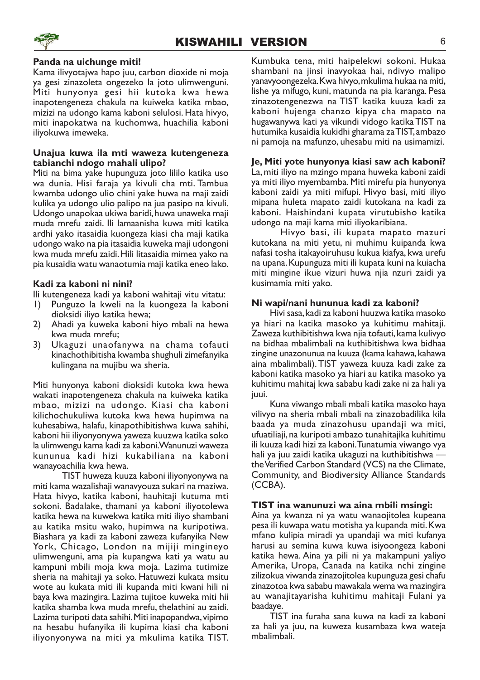

#### Panda na uichunge miti!

Kama ilivyotajwa hapo juu, carbon dioxide ni moja ya gesi zinazoleta ongezeko la joto ulimwenguni. Miti hunyonya gesi hii kutoka kwa hewa inapotengeneza chakula na kuiweka katika mbao, mizizi na udongo kama kaboni selulosi. Hata hivyo, miti inapokatwa na kuchomwa, huachilia kaboni iliyokuwa imeweka.

#### Unajua kuwa ila mti waweza kutengeneza tabianchi ndogo mahali ulipo?

Miti na bima yake hupunguza joto lililo katika uso wa dunia. Hisi faraja ya kivuli cha mti. Tambua kwamba udongo ulio chini yake huwa na maji zaidi kulika ya udongo ulio palipo na jua pasipo na kivuli. Udongo unapokaa ukiwa baridi, huwa unaweka maji muda mrefu zaidi. Ili lamaanisha kuwa miti katika ardhi yako itasaidia kuongeza kiasi cha maji katika udongo wako na pia itasaidia kuweka maji udongoni kwa muda mrefu zaidi. Hili litasaidia mimea yako na pia kusaidia watu wanaotumia maji katika eneo lako.

### Kadi za kaboni ni nini?

Ili kutengeneza kadi ya kaboni wahitaji vitu vitatu:

- 1) Punguzo la kweli na la kuongeza la kaboni dioksidi iliyo katika hewa;
- 2) Ahadi ya kuweka kaboni hiyo mbali na hewa kwa muda mrefu;
- 3) Ukaguzi unaofanywa na chama tofauti kinachothibitisha kwamba shughuli zimefanyika kulingana na mujibu wa sheria.

Miti hunyonya kaboni dioksidi kutoka kwa hewa wakati inapotengeneza chakula na kuiweka katika mbao, mizizi na udongo. Kiasi cha kaboni kilichochukuliwa kutoka kwa hewa hupimwa na kuhesabiwa, halafu, kinapothibitishwa kuwa sahihi, kaboni hii iliyonyonywa yaweza kuuzwa katika soko la ulimwengu kama kadi za kaboni. Wanunuzi waweza kununua kadi hizi kukabiliana na kaboni wanayoachilia kwa hewa.

TIST huweza kuuza kaboni iliyonyonywa na miti kama wazalishaji wanavyouza sukari na maziwa. Hata hivyo, katika kaboni, hauhitaji kutuma mti sokoni. Badalake, thamani ya kaboni iliyotolewa katika hewa na kuwekwa katika miti iliyo shambani au katika msitu wako, hupimwa na kuripotiwa. Biashara ya kadi za kaboni zaweza kufanyika New York, Chicago, London na mijiji mingineyo ulimwenguni, ama pia kupangwa kati ya watu au kampuni mbili moja kwa moja. Lazima tutimize sheria na mahitaji ya soko. Hatuwezi kukata msitu wote au kukata miti ili kupanda miti kwani hili ni baya kwa mazingira. Lazima tujitoe kuweka miti hii katika shamba kwa muda mrefu, thelathini au zaidi. Lazima turipoti data sahihi. Miti inapopandwa, vipimo na hesabu hufanyika ili kupima kiasi cha kaboni iliyonyonywa na miti ya mkulima katika TIST.

Kumbuka tena, miti haipelekwi sokoni. Hukaa shambani na jinsi inavyokaa hai, ndivyo malipo yanavyoongezeka. Kwa hivyo, mkulima hukaa na miti, lishe ya mifugo, kuni, matunda na pia karanga. Pesa zinazotengenezwa na TIST katika kuuza kadi za kaboni hujenga chanzo kipya cha mapato na hugawanywa kati ya vikundi vidogo katika TIST na hutumika kusaidia kukidhi gharama za TIST, ambazo ni pamoja na mafunzo, uhesabu miti na usimamizi.

### Je, Miti yote hunyonya kiasi saw ach kaboni?

La, miti iliyo na mzingo mpana huweka kaboni zaidi ya miti iliyo myembamba. Miti mirefu pia hunyonya kaboni zaidi ya miti mifupi. Hivyo basi, miti iliyo mipana huleta mapato zaidi kutokana na kadi za kaboni. Haishindani kupata virutubisho katika udongo na maji kama miti iliyokaribiana.

Hivyo basi, ili kupata mapato mazuri kutokana na miti yetu, ni muhimu kuipanda kwa nafasi tosha itakayoiruhusu kukua kiafya, kwa urefu na upana. Kupunguza miti ili kupata kuni na kuiacha miti mingine ikue vizuri huwa njia nzuri zaidi ya kusimamia miti yako.

#### Ni wapi/nani hununua kadi za kaboni?

Hivi sasa, kadi za kaboni huuzwa katika masoko ya hiari na katika masoko ya kuhitimu mahitaji. Zaweza kuthibitishwa kwa njia tofauti, kama kulivyo na bidhaa mbalimbali na kuthibitishwa kwa bidhaa zingine unazonunua na kuuza (kama kahawa, kahawa aina mbalimbali).TIST yaweza kuuza kadi zake za kaboni katika masoko ya hiari au katika masoko ya kuhitimu mahitaj kwa sababu kadi zake ni za hali ya juui.

Kuna viwango mbali mbali katika masoko haya vilivyo na sheria mbali mbali na zinazobadilika kila baada ya muda zinazohusu upandaji wa miti, ufuatiliaji, na kuripoti ambazo tunahitajika kuhitimu ili kuuza kadi hizi za kaboni. Tunatumia viwango vya hali ya juu zaidi katika ukaguzi na kuthibitishwa the Verified Carbon Standard (VCS) na the Climate, Community, and Biodiversity Alliance Standards (CCBA).

### TIST ina wanunuzi wa aina mbili msingi:

Aina ya kwanza ni ya watu wanaojitolea kupeana pesa ili kuwapa watu motisha ya kupanda miti. Kwa mfano kulipia miradi ya upandaji wa miti kufanya harusi au semina kuwa kuwa isiyoongeza kaboni katika hewa. Aina ya pili ni ya makampuni yaliyo Amerika, Uropa, Canada na katika nchi zingine zilizokua viwanda zinazojitolea kupunguza gesi chafu zinazotoa kwa sababu mawakala wema wa mazingira au wanajitayarisha kuhitimu mahitaji Fulani ya baadaye.

TIST ina furaha sana kuwa na kadi za kaboni za hali ya juu, na kuweza kusambaza kwa wateja mbalimbali.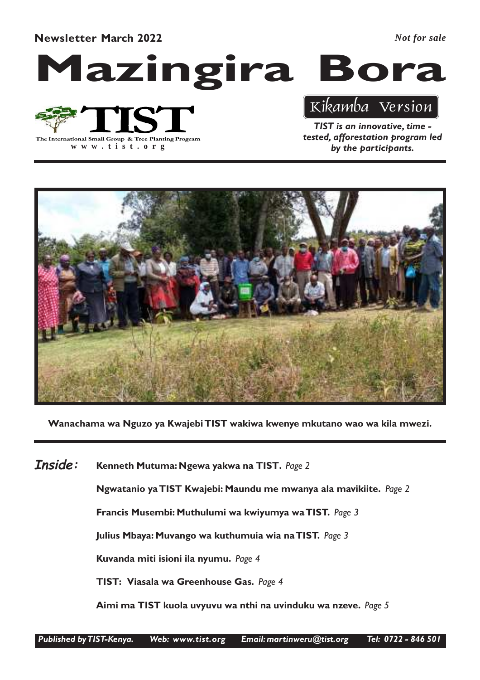Newsletter March 2022

*Not for sale*





**www .tist.org**

TIST is an innovative, time - Kikamba Version

tested, afforestation program led by the participants.



Wanachama wa Nguzo ya Kwajebi TIST wakiwa kwenye mkutano wao wa kila mwezi.

Kenneth Mutuma: Ngewa yakwa na TIST. Page 2 Inside:

Ngwatanio ya TIST Kwajebi: Maundu me mwanya ala mavikiite. Page 2

Francis Musembi: Muthulumi wa kwiyumya wa TIST. Page 3

Julius Mbaya: Muvango wa kuthumuia wia na TIST. Page 3

Kuvanda miti isioni ila nyumu. Page 4

TIST: Viasala wa Greenhouse Gas. Page 4

Aimi ma TIST kuola uvyuvu wa nthi na uvinduku wa nzeve. Page 5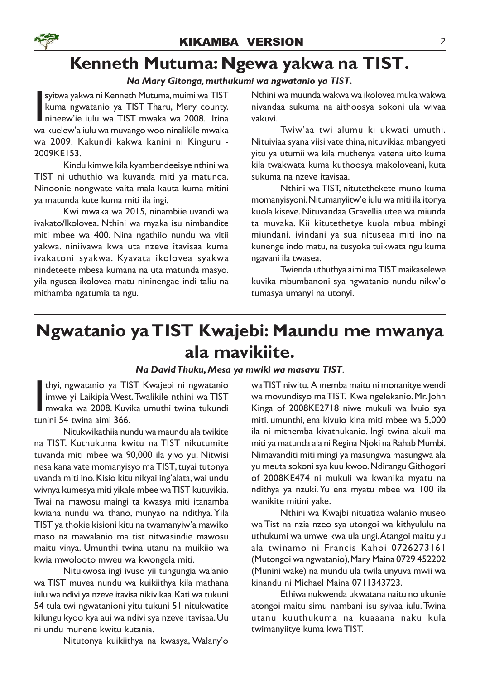### Kenneth Mutuma: Ngewa yakwa na TIST.

### Na Mary Gitonga, muthukumi wa ngwatanio ya TIST.

syitwa yakwa ni Kenneth Mutuma, muimi wa TIST<br>kuma ngwatanio ya TIST Tharu, Mery county.<br>nineew'ie iulu wa TIST mwaka wa 2008. Itina<br>wa kuelew'a iulu wa muvango woo ninalikile mwaka syitwa yakwa ni Kenneth Mutuma, muimi wa TIST kuma ngwatanio ya TIST Tharu, Mery county. nineew'ie iulu wa TIST mwaka wa 2008. Itina wa 2009. Kakundi kakwa kanini ni Kinguru - 2009KE153.

Kindu kimwe kila kyambendeeisye nthini wa TIST ni uthuthio wa kuvanda miti ya matunda. Ninoonie nongwate vaita mala kauta kuma mitini ya matunda kute kuma miti ila ingi.

Kwi mwaka wa 2015, ninambiie uvandi wa ivakato/Ikolovea. Nthini wa myaka isu nimbandite miti mbee wa 400. Nina ngathiio nundu wa vitii yakwa. niniivawa kwa uta nzeve itavisaa kuma ivakatoni syakwa. Kyavata ikolovea syakwa nindeteete mbesa kumana na uta matunda masyo. yila ngusea ikolovea matu nininengae indi taliu na mithamba ngatumia ta ngu.

Nthini wa muunda wakwa wa ikolovea muka wakwa nivandaa sukuma na aithoosya sokoni ula wivaa vakuvi.

Twiw'aa twi alumu ki ukwati umuthi. Nituiviaa syana viisi vate thina, nituvikiaa mbangyeti yitu ya utumii wa kila muthenya vatena uito kuma kila twakwata kuma kuthoosya makoloveani, kuta sukuma na nzeve itavisaa.

Nthini wa TIST, nitutethekete muno kuma momanyisyoni. Nitumanyiitw'e iulu wa miti ila itonya kuola kiseve. Nituvandaa Gravellia utee wa miunda ta muvaka. Kii kitutethetye kuola mbua mbingi miundani. ivindani ya sua nituseaa miti ino na kunenge indo matu, na tusyoka tuikwata ngu kuma ngavani ila twasea.

Twienda uthuthya aimi ma TIST maikaselewe kuvika mbumbanoni sya ngwatanio nundu nikw'o tumasya umanyi na utonyi.

### Ngwatanio ya TIST Kwajebi: Maundu me mwanya ala mavikiite.

### Na David Thuku, Mesa ya mwiki wa masavu TIST.

thyi, ngwatanio ya Tl!<br>
imwe yi Laikipia West<br>
mwaka wa 2008. Kuvi<br>
tunini 54 twina aimi 366. thyi, ngwatanio ya TIST Kwajebi ni ngwatanio imwe yi Laikipia West. Twalikile nthini wa TIST mwaka wa 2008. Kuvika umuthi twina tukundi

Nitukwikathiia nundu wa maundu ala twikite na TIST. Kuthukuma kwitu na TIST nikutumite tuvanda miti mbee wa 90,000 ila yivo yu. Nitwisi nesa kana vate momanyisyo ma TIST, tuyai tutonya uvanda miti ino. Kisio kitu nikyai ing'alata, wai undu wivnya kumesya miti yikale mbee wa TIST kutuvikia. Twai na mawosu maingi ta kwasya miti itanamba kwiana nundu wa thano, munyao na ndithya. Yila TIST ya thokie kisioni kitu na twamanyiw'a mawiko maso na mawalanio ma tist nitwasindie mawosu maitu vinya. Umunthi twina utanu na muikiio wa kwia mwolooto mweu wa kwongela miti.

Nitukwosa ingi ivuso yii tungungia walanio wa TIST muvea nundu wa kuikiithya kila mathana iulu wa ndivi ya nzeve itavisa nikivikaa. Kati wa tukuni 54 tula twi ngwatanioni yitu tukuni 51 nitukwatite kilungu kyoo kya aui wa ndivi sya nzeve itavisaa. Uu ni undu munene kwitu kutania.

Nitutonya kuikiithya na kwasya, Walany'o

waTIST niwitu. A memba maitu ni monanitye wendi wa movundisyo ma TIST. Kwa ngelekanio. Mr. John Kinga of 2008KE2718 niwe mukuli wa Ivuio sya miti. umunthi, ena kivuio kina miti mbee wa 5,000 ila ni mithemba kivathukanio. Ingi twina akuli ma miti ya matunda ala ni Regina Njoki na Rahab Mumbi. Nimavanditi miti mingi ya masungwa masungwa ala yu meuta sokoni sya kuu kwoo. Ndirangu Githogori of 2008KE474 ni mukuli wa kwanika myatu na ndithya ya nzuki. Yu ena myatu mbee wa 100 ila wanikite mitini yake.

Nthini wa Kwajbi nituatiaa walanio museo wa Tist na nzia nzeo sya utongoi wa kithyululu na uthukumi wa umwe kwa ula ungi.Atangoi maitu yu ala twinamo ni Francis Kahoi 0726273161 (Mutongoi wa ngwatanio), Mary Maina 0729 452202 (Munini wake) na mundu ula twila unyuva mwii wa kinandu ni Michael Maina 0711343723.

Ethiwa nukwenda ukwatana naitu no ukunie atongoi maitu simu nambani isu syivaa iulu. Twina utanu kuuthukuma na kuaaana naku kula twimanyiitye kuma kwa TIST.

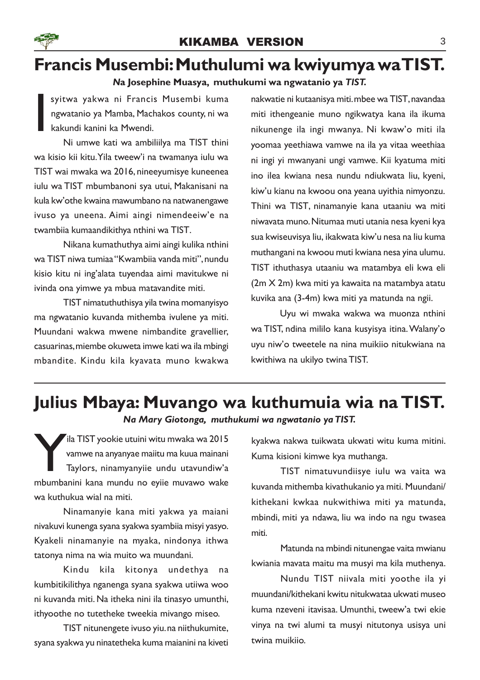# Francis Musembi: Muthulumi wa kwiyumya wa TIST.

### Na Josephine Muasya, muthukumi wa ngwatanio ya TIST.

syitwa yakwa ni Francis Musembi kuma ngwatanio ya Mamba, Machakos county, ni wa kakundi kanini ka Mwendi.

I Ni umwe kati wa ambiliilya ma TIST thini wa kisio kii kitu.Yila tweew'i na twamanya iulu wa TIST wai mwaka wa 2016, nineeyumisye kuneenea iulu wa TIST mbumbanoni sya utui, Makanisani na kula kw'othe kwaina mawumbano na natwanengawe ivuso ya uneena. Aimi aingi nimendeeiw'e na twambiia kumaandikithya nthini wa TIST.

Nikana kumathuthya aimi aingi kulika nthini wa TIST niwa tumiaa "Kwambiia vanda miti", nundu kisio kitu ni ing'alata tuyendaa aimi mavitukwe ni ivinda ona yimwe ya mbua matavandite miti.

TIST nimatuthuthisya yila twina momanyisyo ma ngwatanio kuvanda mithemba ivulene ya miti. Muundani wakwa mwene nimbandite gravellier, casuarinas, miembe okuweta imwe kati wa ila mbingi mbandite. Kindu kila kyavata muno kwakwa

nakwatie ni kutaanisya miti. mbee wa TIST, navandaa miti ithengeanie muno ngikwatya kana ila ikuma nikunenge ila ingi mwanya. Ni kwaw'o miti ila yoomaa yeethiawa vamwe na ila ya vitaa weethiaa ni ingi yi mwanyani ungi vamwe. Kii kyatuma miti ino ilea kwiana nesa nundu ndiukwata liu, kyeni, kiw'u kianu na kwoou ona yeana uyithia nimyonzu. Thini wa TIST, ninamanyie kana utaaniu wa miti niwavata muno. Nitumaa muti utania nesa kyeni kya sua kwiseuvisya liu, ikakwata kiw'u nesa na liu kuma muthangani na kwoou muti kwiana nesa yina ulumu. TIST ithuthasya utaaniu wa matambya eli kwa eli (2m X 2m) kwa miti ya kawaita na matambya atatu kuvika ana (3-4m) kwa miti ya matunda na ngii.

Uyu wi mwaka wakwa wa muonza nthini wa TIST, ndina mililo kana kusyisya itina. Walany'o uyu niw'o tweetele na nina muikiio nitukwiana na kwithiwa na ukilyo twina TIST.

# Julius Mbaya: Muvango wa kuthumuia wia na TIST.

Na Mary Giotonga, muthukumi wa ngwatanio ya TIST.

Ila TIST yookie utuini witu mwaka wa 2015<br>
vamwe na anyanyae maiitu ma kuua mainani<br>
Taylors, ninamyanyiie undu utavundiw'a<br>
mbumbanini kana mundu no eyiie muvawo wake ila TIST yookie utuini witu mwaka wa 2015 vamwe na anyanyae maiitu ma kuua mainani Taylors, ninamyanyiie undu utavundiw'a wa kuthukua wial na miti.

Ninamanyie kana miti yakwa ya maiani nivakuvi kunenga syana syakwa syambiia misyi yasyo. Kyakeli ninamanyie na myaka, nindonya ithwa tatonya nima na wia muito wa muundani.

Kindu kila kitonya undethya na kumbitikilithya nganenga syana syakwa utiiwa woo ni kuvanda miti. Na itheka nini ila tinasyo umunthi, ithyoothe no tutetheke tweekia mivango miseo.

TIST nitunengete ivuso yiu. na niithukumite, syana syakwa yu ninatetheka kuma maianini na kiveti kyakwa nakwa tuikwata ukwati witu kuma mitini. Kuma kisioni kimwe kya muthanga.

TIST nimatuvundiisye iulu wa vaita wa kuvanda mithemba kivathukanio ya miti. Muundani/ kithekani kwkaa nukwithiwa miti ya matunda, mbindi, miti ya ndawa, liu wa indo na ngu twasea miti.

Matunda na mbindi nitunengae vaita mwianu kwiania mavata maitu ma musyi ma kila muthenya.

Nundu TIST niivala miti yoothe ila yi muundani/kithekani kwitu nitukwataa ukwati museo kuma nzeveni itavisaa. Umunthi, tweew'a twi ekie vinya na twi alumi ta musyi nitutonya usisya uni twina muikiio.

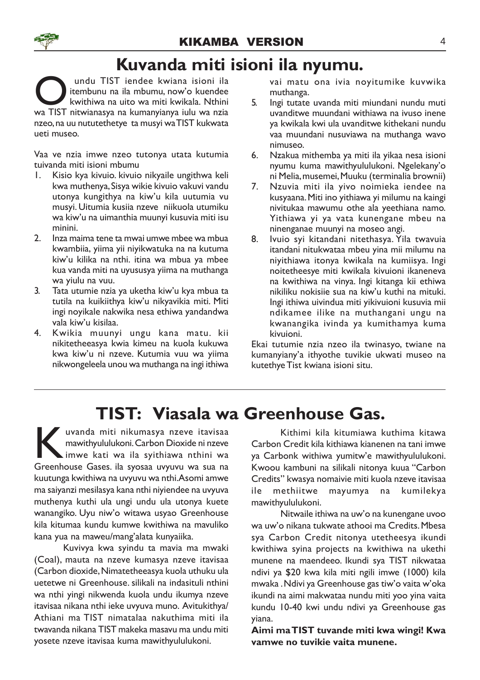# Kuvanda miti isioni ila nyumu.

**O** undu TIST iendee kwiana isioni ila<br>kwithiwa na uito wa miti kwikala. Nthini<br>wa TIST nitwianasya na kumanyianya iulu wa nzia undu TIST iendee kwiana isioni ila itembunu na ila mbumu, now'o kuendee kwithiwa na uito wa miti kwikala. Nthini nzeo, na uu nututethetye ta musyi waTIST kukwata ueti museo.

Vaa ve nzia imwe nzeo tutonya utata kutumia tuivanda miti isioni mbumu

- 1. Kisio kya kivuio. kivuio nikyaile ungithwa keli kwa muthenya, Sisya wikie kivuio vakuvi vandu utonya kungithya na kiw'u kila uutumia vu musyi. Uitumia kusiia nzeve niikuola utumiku wa kiw'u na uimanthia muunyi kusuvia miti isu minini.
- 2. Inza maima tene ta mwai umwe mbee wa mbua kwambiia, yiima yii niyikwatuka na na kutuma kiw'u kilika na nthi. itina wa mbua ya mbee kua vanda miti na uyususya yiima na muthanga wa yiulu na vuu.
- 3. Tata utumie nzia ya uketha kiw'u kya mbua ta tutila na kuikiithya kiw'u nikyavikia miti. Miti ingi noyikale nakwika nesa ethiwa yandandwa vala kiw'u kisilaa.
- 4. Kwikia muunyi ungu kana matu. kii nikitetheeasya kwia kimeu na kuola kukuwa kwa kiw'u ni nzeve. Kutumia vuu wa yiima nikwongeleela unou wa muthanga na ingi ithiwa

vai matu ona ivia noyitumike kuvwika muthanga.

- 5. Ingi tutate uvanda miti miundani nundu muti uvanditwe muundani withiawa na ivuso inene ya kwikala kwi ula uvanditwe kithekani nundu vaa muundani nusuviawa na muthanga wavo nimuseo.
- 6. Nzakua mithemba ya miti ila yikaa nesa isioni nyumu kuma mawithyululukoni. Ngelekany'o ni Melia, musemei, Muuku (terminalia brownii)
- 7. Nzuvia miti ila yivo noimieka iendee na kusyaana. Miti ino yithiawa yi milumu na kaingi nivitukaa mawumu othe ala yeethiana namo. Yithiawa yi ya vata kunengane mbeu na ninenganae muunyi na moseo angi.
- 8. Ivuio syi kitandani nitethasya. Yila twavuia itandani nitukwataa mbeu yina mii milumu na niyithiawa itonya kwikala na kumiisya. Ingi noitetheesye miti kwikala kivuioni ikaneneva na kwithiwa na vinya. Ingi kitanga kii ethiwa nikiliku nokisiie sua na kiw'u kuthi na mituki. Ingi ithiwa uivindua miti yikivuioni kusuvia mii ndikamee ilike na muthangani ungu na kwanangika ivinda ya kumithamya kuma kivuioni.

Ekai tutumie nzia nzeo ila twinasyo, twiane na kumanyiany'a ithyothe tuvikie ukwati museo na kutethye Tist kwiana isioni situ.

# TIST: Viasala wa Greenhouse Gas.

kuvanda miti nikumasya nzeve itavisaa<br>
mawithyululukoni. Carbon Dioxide ni nzeve<br>
imwe kati wa ila syithiawa nthini wa<br>
Greenhouse Gases. ila syosaa uvyuvu wa sua na uvanda miti nikumasya nzeve itavisaa mawithyululukoni. Carbon Dioxide ni nzeve imwe kati wa ila syithiawa nthini wa kuutunga kwithiwa na uvyuvu wa nthi.Asomi amwe ma saiyanzi mesilasya kana nthi niyiendee na uvyuva muthenya kuthi ula ungi undu ula utonya kuete wanangiko. Uyu niw'o witawa usyao Greenhouse kila kitumaa kundu kumwe kwithiwa na mavuliko kana yua na maweu/mang'alata kunyaiika.

Kuvivya kwa syindu ta mavia ma mwaki (Coal), mauta na nzeve kumasya nzeve itavisaa (Carbon dioxide, Nimatetheeasya kuola uthuku ula uetetwe ni Greenhouse. silikali na indasituli nthini wa nthi yingi nikwenda kuola undu ikumya nzeve itavisaa nikana nthi ieke uvyuva muno. Avitukithya/ Athiani ma TIST nimatalaa nakuthima miti ila twavanda nikana TIST makeka masavu ma undu miti yosete nzeve itavisaa kuma mawithyululukoni.

Kithimi kila kitumiawa kuthima kitawa Carbon Credit kila kithiawa kianenen na tani imwe ya Carbonk withiwa yumitw'e mawithyululukoni. Kwoou kambuni na silikali nitonya kuua "Carbon Credits" kwasya nomaivie miti kuola nzeve itavisaa ile methiitwe mayumya na kumilekya mawithyululukoni.

Nitwaile ithiwa na uw'o na kunengane uvoo wa uw'o nikana tukwate athooi ma Credits. Mbesa sya Carbon Credit nitonya utetheesya ikundi kwithiwa syina projects na kwithiwa na ukethi munene na maendeeo. Ikundi sya TIST nikwataa ndivi ya \$20 kwa kila miti ngili imwe (1000) kila mwaka . Ndivi ya Greenhouse gas tiw'o vaita w'oka ikundi na aimi makwataa nundu miti yoo yina vaita kundu 10-40 kwi undu ndivi ya Greenhouse gas yiana.

Aimi ma TIST tuvande miti kwa wingi! Kwa vamwe no tuvikie vaita munene.

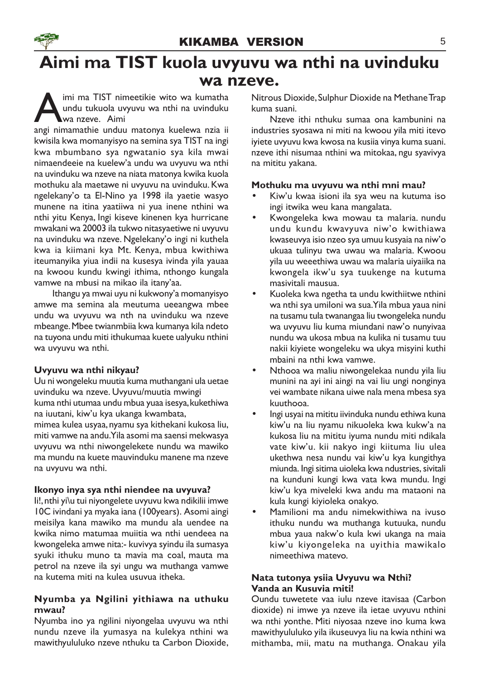### Aimi ma TIST kuola uvyuvu wa nthi na uvinduku wa nzeve.

A imi ma TIST nimeetikie wito wa kumatha<br>undu tukuola uvyuvu wa nthi na uvinduku<br>angi nimamathie unduu matonya kuelewa nzia ii imi ma TIST nimeetikie wito wa kumatha undu tukuola uvyuvu wa nthi na uvinduku wa nzeve. Aimi

kwisila kwa momanyisyo na semina sya TIST na ingi kwa mbumbano sya ngwatanio sya kila mwai nimaendeeie na kuelew'a undu wa uvyuvu wa nthi na uvinduku wa nzeve na niata matonya kwika kuola mothuku ala maetawe ni uvyuvu na uvinduku. Kwa ngelekany'o ta El-Nino ya 1998 ila yaetie wasyo munene na itina yaatiiwa ni yua inene nthini wa nthi yitu Kenya, Ingi kiseve kinenen kya hurricane mwakani wa 20003 ila tukwo nitasyaetiwe ni uvyuvu na uvinduku wa nzeve. Ngelekany'o ingi ni kuthela kwa ia kiimani kya Mt. Kenya, mbua kwithiwa iteumanyika yiua indii na kusesya ivinda yila yauaa na kwoou kundu kwingi ithima, nthongo kungala vamwe na mbusi na mikao ila itany'aa.

Ithangu ya mwai uyu ni kukwony'a momanyisyo amwe ma semina ala meutuma ueeangwa mbee undu wa uvyuvu wa nth na uvinduku wa nzeve mbeange. Mbee twianmbiia kwa kumanya kila ndeto na tuyona undu miti ithukumaa kuete ualyuku nthini wa uvyuvu wa nthi.

### Uvyuvu wa nthi nikyau?

Uu ni wongeleku muutia kuma muthangani ula uetae uvinduku wa nzeve. Uvyuvu/muutia mwingi kuma nthi utumaa undu mbua yuaa isesya, kukethiwa na iuutani, kiw'u kya ukanga kwambata, mimea kulea usyaa, nyamu sya kithekani kukosa liu, miti vamwe na andu.Yila asomi ma saensi mekwasya uvyuvu wa nthi niwongelekete nundu wa mawiko ma mundu na kuete mauvinduku manene ma nzeve na uvyuvu wa nthi.

### Ikonyo inya sya nthi niendee na uvyuva?

Ii!, nthi yi\u tui niyongelete uvyuvu kwa ndikilii imwe 10C ivindani ya myaka iana (100years). Asomi aingi meisilya kana mawiko ma mundu ala uendee na kwika nimo matumaa muiitia wa nthi uendeea na kwongeleka amwe nita:- kuvivya syindu ila sumasya syuki ithuku muno ta mavia ma coal, mauta ma petrol na nzeve ila syi ungu wa muthanga vamwe na kutema miti na kulea usuvua itheka.

### Nyumba ya Ngilini yithiawa na uthuku mwau?

Nyumba ino ya ngilini niyongelaa uvyuvu wa nthi nundu nzeve ila yumasya na kulekya nthini wa mawithyululuko nzeve nthuku ta Carbon Dioxide, Nitrous Dioxide, Sulphur Dioxide na Methane Trap kuma suani.

Nzeve ithi nthuku sumaa ona kambunini na industries syosawa ni miti na kwoou yila miti itevo iyiete uvyuvu kwa kwosa na kusiia vinya kuma suani. nzeve ithi nisumaa nthini wa mitokaa, ngu syavivya na mititu yakana.

### Mothuku ma uvyuvu wa nthi mni mau?

- Kiw'u kwaa isioni ila sya weu na kutuma iso ingi itwika weu kana mangalata.
- Kwongeleka kwa mowau ta malaria. nundu undu kundu kwavyuva niw'o kwithiawa kwaseuvya isio nzeo sya umuu kusyaia na niw'o ukuaa tulinyu twa uwau wa malaria. Kwoou yila uu weeethiwa uwau wa malaria uiyaiika na kwongela ikw'u sya tuukenge na kutuma masivitali mausua.
- Kuoleka kwa ngetha ta undu kwithiitwe nthini wa nthi sya umiloni wa sua.Yila mbua yaua nini na tusamu tula twanangaa liu twongeleka nundu wa uvyuvu liu kuma miundani naw'o nunyivaa nundu wa ukosa mbua na kulika ni tusamu tuu nakii kiyiete wongeleku wa ukya misyini kuthi mbaini na nthi kwa vamwe.
- Nthooa wa maliu niwongelekaa nundu yila liu munini na ayi ini aingi na vai liu ungi nonginya vei wambate nikana uiwe nala mena mbesa sya kuuthooa.
- Ingi usyai na mititu iivinduka nundu ethiwa kuna kiw'u na liu nyamu nikuoleka kwa kukw'a na kukosa liu na mititu iyuma nundu miti ndikala vate kiw'u. kii nakyo ingi kiituma liu ulea ukethwa nesa nundu vai kiw'u kya kungithya miunda. Ingi sitima uioleka kwa ndustries, sivitali na kunduni kungi kwa vata kwa mundu. Ingi kiw'u kya miveleki kwa andu ma mataoni na kula kungi kiyioleka onakyo.
- Mamilioni ma andu nimekwithiwa na ivuso ithuku nundu wa muthanga kutuuka, nundu mbua yaua nakw'o kula kwi ukanga na maia kiw'u kiyongeleka na uyithia mawikalo nimeethiwa matevo.

### Nata tutonya ysiia Uvyuvu wa Nthi? Vanda an Kusuvia miti!

Oundu tuwetete vaa iulu nzeve itavisaa (Carbon dioxide) ni imwe ya nzeve ila ietae uvyuvu nthini wa nthi yonthe. Miti niyosaa nzeve ino kuma kwa mawithyululuko yila ikuseuvya liu na kwia nthini wa mithamba, mii, matu na muthanga. Onakau yila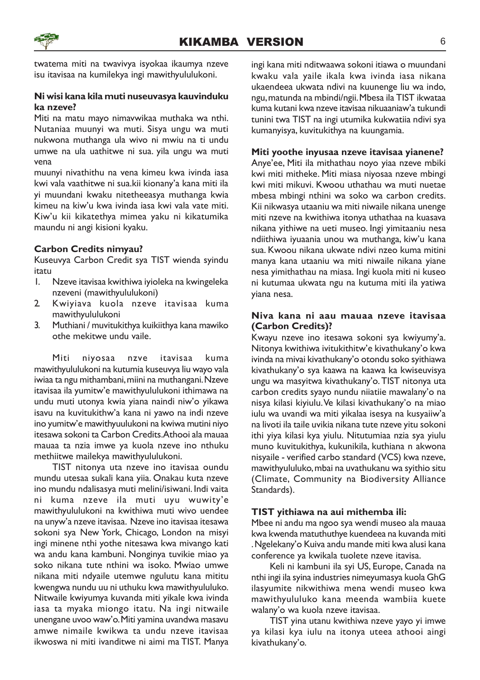

twatema miti na twavivya isyokaa ikaumya nzeve isu itavisaa na kumilekya ingi mawithyululukoni.

#### Ni wisi kana kila muti nuseuvasya kauvinduku ka nzeve?

Miti na matu mayo nimavwikaa muthaka wa nthi. Nutaniaa muunyi wa muti. Sisya ungu wa muti nukwona muthanga ula wivo ni mwiu na ti undu umwe na ula uathitwe ni sua. yila ungu wa muti vena

muunyi nivathithu na vena kimeu kwa ivinda iasa kwi vala vaathitwe ni sua.kii kionany'a kana miti ila yi muundani kwaku nitetheeasya muthanga kwia kimeu na kiw'u kwa ivinda iasa kwi vala vate miti. Kiw'u kii kikatethya mimea yaku ni kikatumika maundu ni angi kisioni kyaku.

### Carbon Credits nimyau?

Kuseuvya Carbon Credit sya TIST wienda syindu itatu

- 1. Nzeve itavisaa kwithiwa iyioleka na kwingeleka nzeveni (mawithyululukoni)
- 2. Kwiyiava kuola nzeve itavisaa kuma mawithyululukoni
- 3. Muthiani / muvitukithya kuikiithya kana mawiko othe mekitwe undu vaile.

Miti niyosaa nzve itavisaa kuma mawithyululukoni na kutumia kuseuvya liu wayo vala iwiaa ta ngu mithambani, miini na muthangani. Nzeve itavisaa ila yumitw'e mawithyululukoni ithimawa na undu muti utonya kwia yiana naindi niw'o yikawa isavu na kuvitukithw'a kana ni yawo na indi nzeve ino yumitw'e mawithyuulukoni na kwiwa mutini niyo itesawa sokoni ta Carbon Credits.Athooi ala mauaa mauaa ta nzia imwe ya kuola nzeve ino nthuku methiitwe mailekya mawithyululukoni.

TIST nitonya uta nzeve ino itavisaa oundu mundu utesaa sukali kana yiia. Onakau kuta nzeve ino mundu ndalisasya muti melini/isiwani. Indi vaita ni kuma nzeve ila muti uyu wuwity'e mawithyululukoni na kwithiwa muti wivo uendee na unyw'a nzeve itavisaa. Nzeve ino itavisaa itesawa sokoni sya New York, Chicago, London na misyi ingi minene nthi yothe nitesawa kwa mivango kati wa andu kana kambuni. Nonginya tuvikie miao ya soko nikana tute nthini wa isoko. Mwiao umwe nikana miti ndyaile utemwe ngulutu kana mititu kwengwa nundu uu ni uthuku kwa mawithyululuko. Nitwaile kwiyumya kuvanda miti yikale kwa ivinda iasa ta myaka miongo itatu. Na ingi nitwaile unengane uvoo waw'o. Miti yamina uvandwa masavu amwe nimaile kwikwa ta undu nzeve itavisaa ikwoswa ni miti ivanditwe ni aimi ma TIST. Manya ingi kana miti nditwaawa sokoni itiawa o muundani kwaku vala yaile ikala kwa ivinda iasa nikana ukaendeea ukwata ndivi na kuunenge liu wa indo, ngu, matunda na mbindi/ngii. Mbesa ila TIST ikwataa kuma kutani kwa nzeve itavisaa nikuaaniaw'a tukundi tunini twa TIST na ingi utumika kukwatiia ndivi sya kumanyisya, kuvitukithya na kuungamia.

#### Miti yoothe inyusaa nzeve itavisaa yianene?

Anye'ee, Miti ila mithathau noyo yiaa nzeve mbiki kwi miti mitheke. Miti miasa niyosaa nzeve mbingi kwi miti mikuvi. Kwoou uthathau wa muti nuetae mbesa mbingi nthini wa soko wa carbon credits. Kii nikwasya utaaniu wa miti niwaile nikana unenge miti nzeve na kwithiwa itonya uthathaa na kuasava nikana yithiwe na ueti museo. Ingi yimitaaniu nesa ndiithiwa iyuaania unou wa muthanga, kiw'u kana sua. Kwoou nikana ukwate ndivi nzeo kuma mitini manya kana utaaniu wa miti niwaile nikana yiane nesa yimithathau na miasa. Ingi kuola miti ni kuseo ni kutumaa ukwata ngu na kutuma miti ila yatiwa yiana nesa.

### Niva kana ni aau mauaa nzeve itavisaa (Carbon Credits)?

Kwayu nzeve ino itesawa sokoni sya kwiyumy'a. Nitonya kwithiwa ivitukithitw'e kivathukany'o kwa ivinda na mivai kivathukany'o otondu soko syithiawa kivathukany'o sya kaawa na kaawa ka kwiseuvisya ungu wa masyitwa kivathukany'o.TIST nitonya uta carbon credits syayo nundu niiatiie mawalany'o na nisya kilasi kiyiulu. Ve kilasi kivathukany'o na miao iulu wa uvandi wa miti yikalaa isesya na kusyaiiw'a na livoti ila taile uvikia nikana tute nzeve yitu sokoni ithi yiya kilasi kya yiulu. Nitutumiaa nzia sya yiulu muno kuvitukithya, kukunikila, kuthiana n akwona nisyaile - verified carbo standard (VCS) kwa nzeve, mawithyululuko, mbai na uvathukanu wa syithio situ (Climate, Community na Biodiversity Alliance Standards).

### TIST yithiawa na aui mithemba ili:

Mbee ni andu ma ngoo sya wendi museo ala mauaa kwa kwenda matuthuthye kuendeea na kuvanda miti . Ngelekany'o Kuiva andu mande miti kwa alusi kana conference ya kwikala tuolete nzeve itavisa.

Keli ni kambuni ila syi US, Europe, Canada na nthi ingi ila syina industries nimeyumasya kuola GhG ilasyumite nikwithiwa mena wendi museo kwa mawithyululuko kana meenda wambiia kuete walany'o wa kuola nzeve itavisaa.

TIST yina utanu kwithiwa nzeve yayo yi imwe ya kilasi kya iulu na itonya uteea athooi aingi kivathukany'o.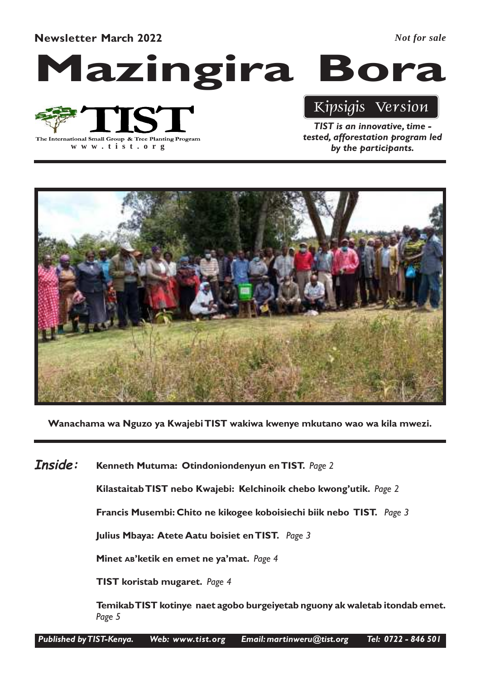Newsletter March 2022

*Not for sale*





**www .tist.org**

### Kipsigis Version

TIST is an innovative, time tested, afforestation program led by the participants.



Wanachama wa Nguzo ya Kwajebi TIST wakiwa kwenye mkutano wao wa kila mwezi.

Kenneth Mutuma: Otindoniondenyun en TIST. Page 2 Inside:

Kilastaitab TIST nebo Kwajebi: Kelchinoik chebo kwong'utik. Page 2

Francis Musembi: Chito ne kikogee koboisiechi biik nebo TIST. Page 3

Julius Mbaya: Atete Aatu boisiet en TIST. Page 3

Minet AB'ketik en emet ne ya'mat. Page 4

TIST koristab mugaret. Page 4

Temikab TIST kotinye naet agobo burgeiyetab nguony ak waletab itondab emet. Page 5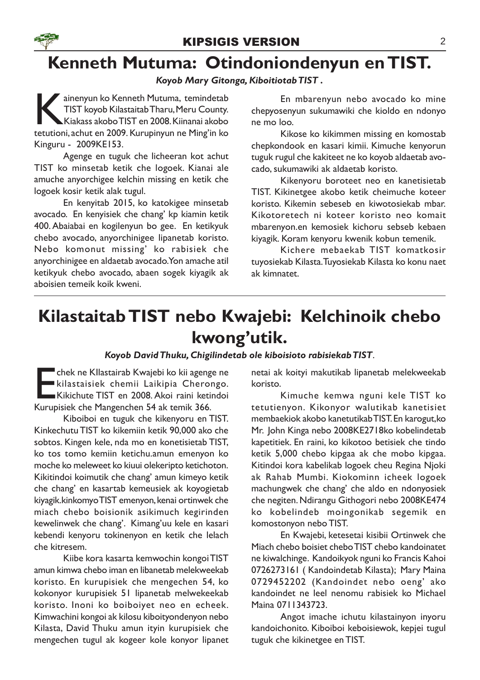

### Kenneth Mutuma: Otindoniondenyun en TIST.

### Koyob Mary Gitonga, Kiboitiotab TIST .

ainenyun ko Kenneth Mutuma, temindetab<br>TIST koyob Kilastaitab Tharu, Meru County.<br>Kiakass akobo TIST en 2008. Kiinanai akobo<br>tetutioni, achut en 2009. Kurupinyun ne Ming'in ko ainenyun ko Kenneth Mutuma, temindetab TIST koyob Kilastaitab Tharu, Meru County. Kiakass akobo TIST en 2008. Kiinanai akobo Kinguru - 2009KE153.

Agenge en tuguk che licheeran kot achut TIST ko minsetab ketik che logoek. Kianai ale amuche anyorchigee kelchin missing en ketik che logoek kosir ketik alak tugul.

En kenyitab 2015, ko katokigee minsetab avocado. En kenyisiek che chang' kp kiamin ketik 400.Abaiabai en kogilenyun bo gee. En ketikyuk chebo avocado, anyorchinigee lipanetab koristo. Nebo komonut missing' ko rabisiek che anyorchinigee en aldaetab avocado. Yon amache atil ketikyuk chebo avocado, abaen sogek kiyagik ak aboisien temeik koik kweni.

En mbarenyun nebo avocado ko mine chepyosenyun sukumawiki che kioldo en ndonyo ne mo loo.

Kikose ko kikimmen missing en komostab chepkondook en kasari kimii. Kimuche kenyorun tuguk rugul che kakiteet ne ko koyob aldaetab avocado, sukumawiki ak aldaetab koristo.

Kikenyoru boroteet neo en kanetisietab TIST. Kikinetgee akobo ketik cheimuche koteer koristo. Kikemin sebeseb en kiwotosiekab mbar. Kikotoretech ni koteer koristo neo komait mbarenyon.en kemosiek kichoru sebseb kebaen kiyagik. Koram kenyoru kwenik kobun temenik.

Kichere mebaekab TIST komatkosir tuyosiekab Kilasta. Tuyosiekab Kilasta ko konu naet ak kimnatet.

### Kilastaitab TIST nebo Kwajebi: Kelchinoik chebo kwong'utik.

Koyob David Thuku, Chigilindetab ole kiboisioto rabisiekab TIST.

Entek ne Kllastairab Kwajebi ko kii ageng<br>Kilastaisiek chemii Laikipia Chero<br>Kikichute TIST en 2008. Akoi raini keti<br>Kurupisiek che Mangenchen 54 ak temik 366. chek ne KIlastairab Kwajebi ko kii agenge ne kilastaisiek chemii Laikipia Cherongo. Kikichute TIST en 2008. Akoi raini ketindoi

Kiboiboi en tuguk che kikenyoru en TIST. Kinkechutu TIST ko kikemiin ketik 90,000 ako che sobtos. Kingen kele, nda mo en konetisietab TIST, ko tos tomo kemiin ketichu.amun emenyon ko moche ko meleweet ko kiuui olekeripto ketichoton. Kikitindoi koimutik che chang' amun kimeyo ketik che chang' en kasartab kemeusiek ak koyogietab kiyagik.kinkomyo TIST emenyon, kenai ortinwek che miach chebo boisionik asikimuch kegirinden kewelinwek che chang'. Kimang'uu kele en kasari kebendi kenyoru tokinenyon en ketik che lelach che kitresem.

Kiibe kora kasarta kemwochin kongoi TIST amun kimwa chebo iman en libanetab melekweekab koristo. En kurupisiek che mengechen 54, ko kokonyor kurupisiek 51 lipanetab melwekeekab koristo. Inoni ko boiboiyet neo en echeek. Kimwachini kongoi ak kilosu kiboityondenyon nebo Kilasta, David Thuku amun ityin kurupisiek che mengechen tugul ak kogeer kole konyor lipanet netai ak koityi makutikab lipanetab melekweekab koristo.

Kimuche kemwa nguni kele TIST ko tetutienyon. Kikonyor walutikab kanetisiet membaekiok akobo kanetutikab TIST. En karogut,ko Mr. John Kinga nebo 2008KE2718ko kobelindetab kapetitiek. En raini, ko kikotoo betisiek che tindo ketik 5,000 chebo kipgaa ak che mobo kipgaa. Kitindoi kora kabelikab logoek cheu Regina Njoki ak Rahab Mumbi. Kiokominn icheek logoek machungwek che chang' che aldo en ndonyosiek che negiten. Ndirangu Githogori nebo 2008KE474 ko kobelindeb moingonikab segemik en komostonyon nebo TIST.

En Kwajebi, ketesetai kisibii Ortinwek che Miach chebo boisiet chebo TIST chebo kandoinatet ne kiwalchinge. Kandoikyok nguni ko Francis Kahoi 0726273161 ( Kandoindetab Kilasta); Mary Maina 0729452202 (Kandoindet nebo oeng' ako kandoindet ne leel nenomu rabisiek ko Michael Maina 0711343723.

Angot imache ichutu kilastainyon inyoru kandoichonito. Kiboiboi keboisiewok, kepjei tugul tuguk che kikinetgee en TIST.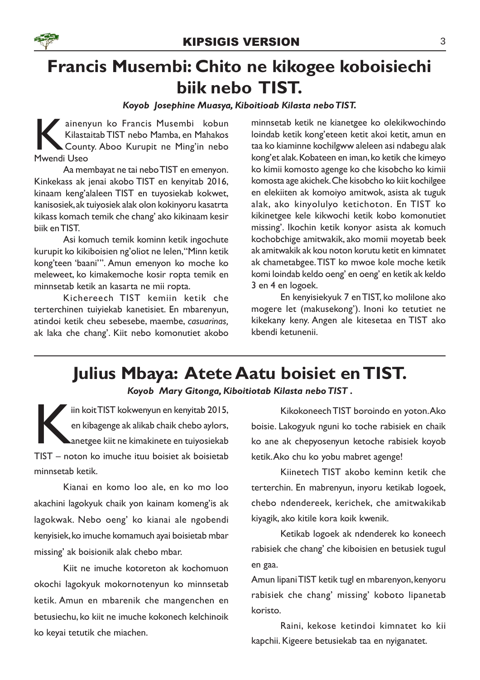# Francis Musembi: Chito ne kikogee koboisiechi biik nebo TIST.

### Koyob Josephine Muasya, Kiboitioab Kilasta nebo TIST.

K ainen<br>Kilasta<br>Mwendi Useo ainenyun ko Francis Musembi kobun Kilastaitab TIST nebo Mamba, en Mahakos County. Aboo Kurupit ne Ming'in nebo

Aa membayat ne tai nebo TIST en emenyon. Kinkekass ak jenai akobo TIST en kenyitab 2016, kinaam keng'alaleen TIST en tuyosiekab kokwet, kanisosiek, ak tuiyosiek alak olon kokinyoru kasatrta kikass komach temik che chang' ako kikinaam kesir biik en TIST.

Asi komuch temik kominn ketik ingochute kurupit ko kikiboisien ng'oliot ne lelen,"Minn ketik kong'teen 'baani'". Amun emenyon ko moche ko meleweet, ko kimakemoche kosir ropta temik en minnsetab ketik an kasarta ne mii ropta.

Kichereech TIST kemiin ketik che terterchinen tuiyiekab kanetisiet. En mbarenyun, atindoi ketik cheu sebesebe, maembe, casuarinas, ak laka che chang'. Kiit nebo komonutiet akobo

minnsetab ketik ne kianetgee ko olekikwochindo loindab ketik kong'eteen ketit akoi ketit, amun en taa ko kiaminne kochilgww aleleen asi ndabegu alak kong'et alak. Kobateen en iman, ko ketik che kimeyo ko kimii komosto agenge ko che kisobcho ko kimii komosta age akichek. Che kisobcho ko kiit kochilgee en elekiiten ak komoiyo amitwok, asista ak tuguk alak, ako kinyolulyo ketichoton. En TIST ko kikinetgee kele kikwochi ketik kobo komonutiet missing'. Ikochin ketik konyor asista ak komuch kochobchige amitwakik, ako momii moyetab beek ak amitwakik ak kou noton korutu ketit en kimnatet ak chametabgee. TIST ko mwoe kole moche ketik komi loindab keldo oeng' en oeng' en ketik ak keldo 3 en 4 en logoek.

En kenyisiekyuk 7 en TIST, ko molilone ako mogere let (makusekong'). Inoni ko tetutiet ne kikekany keny. Angen ale kitesetaa en TIST ako kbendi ketunenii.

# Julius Mbaya: Atete Aatu boisiet en TIST.

Koyob Mary Gitonga, Kiboitiotab Kilasta nebo TIST .

FIST kokwenyun en kenyitab 2015,<br>
en kibagenge ak alikab chaik chebo aylors,<br>
anetgee kiit ne kimakinete en tuiyosiekab<br>
TIST – noton ko imuche ituu boisiet ak boisietab iin koit TIST kokwenyun en kenyitab 2015, en kibagenge ak alikab chaik chebo aylors, anetgee kiit ne kimakinete en tuiyosiekab minnsetab ketik.

Kianai en komo loo ale, en ko mo loo akachini lagokyuk chaik yon kainam komeng'is ak lagokwak. Nebo oeng' ko kianai ale ngobendi kenyisiek, ko imuche komamuch ayai boisietab mbar missing' ak boisionik alak chebo mbar.

Kiit ne imuche kotoreton ak kochomuon okochi lagokyuk mokornotenyun ko minnsetab ketik. Amun en mbarenik che mangenchen en betusiechu, ko kiit ne imuche kokonech kelchinoik ko keyai tetutik che miachen.

Kikokoneech TIST boroindo en yoton.Ako boisie. Lakogyuk nguni ko toche rabisiek en chaik ko ane ak chepyosenyun ketoche rabisiek koyob ketik.Ako chu ko yobu mabret agenge!

Kiinetech TIST akobo keminn ketik che terterchin. En mabrenyun, inyoru ketikab logoek, chebo ndendereek, kerichek, che amitwakikab kiyagik, ako kitile kora koik kwenik.

Ketikab logoek ak ndenderek ko koneech rabisiek che chang' che kiboisien en betusiek tugul en gaa.

Amun lipani TIST ketik tugl en mbarenyon, kenyoru rabisiek che chang' missing' koboto lipanetab koristo.

Raini, kekose ketindoi kimnatet ko kii kapchii. Kigeere betusiekab taa en nyiganatet.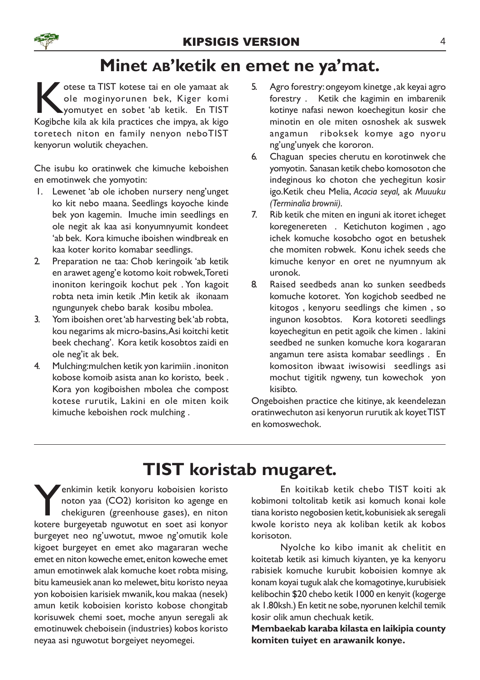### Minet AB'ketik en emet ne ya'mat.

States die Kotese tai en ole yamaat ak ole moginyorunen bek, Kiger komi<br>Kogibche kila ak kila practices che impya, ak kigo otese ta TIST kotese tai en ole yamaat ak ole moginyorunen bek, Kiger komi yomutyet en sobet 'ab ketik. En TIST toretech niton en family nenyon neboTIST kenyorun wolutik cheyachen.

Che isubu ko oratinwek che kimuche keboishen en emotinwek che yomyotin:

- 1. Lewenet 'ab ole ichoben nursery neng'unget ko kit nebo maana. Seedlings koyoche kinde bek yon kagemin. Imuche imin seedlings en ole negit ak kaa asi konyumnyumit kondeet 'ab bek. Kora kimuche iboishen windbreak en kaa koter korito komabar seedlings.
- 2. Preparation ne taa: Chob keringoik 'ab ketik en arawet ageng'e kotomo koit robwek, Toreti inoniton keringoik kochut pek . Yon kagoit robta neta imin ketik .Min ketik ak ikonaam ngungunyek chebo barak kosibu mbolea.
- 3. Yom iboishen oret 'ab harvesting bek 'ab robta, kou negarims ak micro-basins,Asi koitchi ketit beek chechang'. Kora ketik kosobtos zaidi en ole neg'it ak bek.
- 4. Mulching:mulchen ketik yon karimiin . inoniton kobose komoib asista anan ko koristo, beek . Kora yon kogiboishen mbolea che compost kotese rurutik, Lakini en ole miten koik kimuche keboishen rock mulching .
- 5. Agro forestry: ongeyom kinetge , ak keyai agro forestry . Ketik che kagimin en imbarenik kotinye nafasi newon koechegitun kosir che minotin en ole miten osnoshek ak suswek angamun riboksek komye ago nyoru ng'ung'unyek che kororon.
- 6. Chaguan species cherutu en korotinwek che yomyotin. Sanasan ketik chebo komosoton che indeginous ko choton che yechegitun kosir igo.Ketik cheu Melia, Acacia seyal, ak Muuuku (Terminalia brownii).
- 7. Rib ketik che miten en inguni ak itoret icheget koregenereten . Ketichuton kogimen , ago ichek komuche kosobcho ogot en betushek che momiten robwek. Konu ichek seeds che kimuche kenyor en oret ne nyumnyum ak uronok.
- 8. Raised seedbeds anan ko sunken seedbeds komuche kotoret. Yon kogichob seedbed ne kitogos , kenyoru seedlings che kimen , so ingunon kosobtos. Kora kotoreti seedlings koyechegitun en petit agoik che kimen . lakini seedbed ne sunken komuche kora kogararan angamun tere asista komabar seedlings . En komositon ibwaat iwisowisi seedlings asi mochut tigitik ngweny, tun kowechok yon kisibto.

Ongeboishen practice che kitinye, ak keendelezan oratinwechuton asi kenyorun rurutik ak koyet TIST en komoswechok.

# TIST koristab mugaret.

Wenkimin ketik konyoru koboisien koristo<br>noton yaa (CO2) korisiton ko agenge en<br>chekiguren (greenhouse gases), en niton<br>kotere burgeyetab nguwotut en soet asi konyor enkimin ketik konyoru koboisien koristo noton yaa (CO2) korisiton ko agenge en chekiguren (greenhouse gases), en niton burgeyet neo ng'uwotut, mwoe ng'omutik kole kigoet burgeyet en emet ako magararan weche emet en niton koweche emet, eniton koweche emet amun emotinwek alak komuche koet robta mising, bitu kameusiek anan ko melewet, bitu koristo neyaa yon koboisien karisiek mwanik, kou makaa (nesek) amun ketik koboisien koristo kobose chongitab korisuwek chemi soet, moche anyun seregali ak emotinuwek cheboisein (industries) kobos koristo neyaa asi nguwotut borgeiyet neyomegei.

En koitikab ketik chebo TIST koiti ak kobimoni toltolitab ketik asi komuch konai kole tiana koristo negobosien ketit, kobunisiek ak seregali kwole koristo neya ak koliban ketik ak kobos korisoton.

Nyolche ko kibo imanit ak chelitit en koitetab ketik asi kimuch kiyanten, ye ka kenyoru rabisiek komuche kurubit koboisien komnye ak konam koyai tuguk alak che komagotinye, kurubisiek kelibochin \$20 chebo ketik 1000 en kenyit (kogerge ak 1.80ksh.) En ketit ne sobe, nyorunen kelchil temik kosir olik amun chechuak ketik.

Membaekab karaba kilasta en laikipia county komiten tuiyet en arawanik konye.

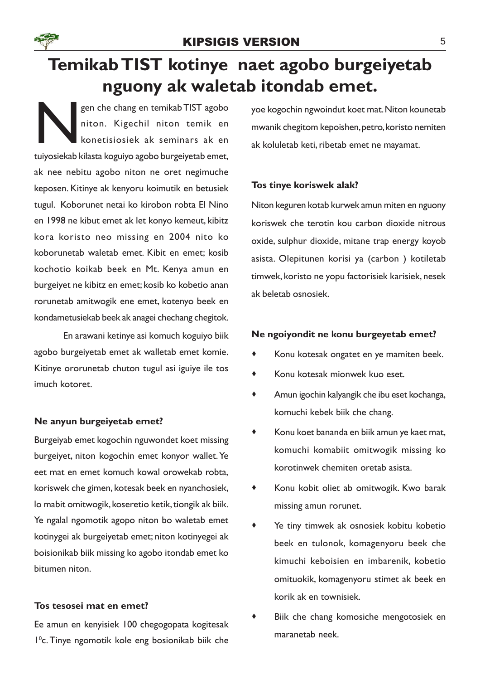

# Temikab TIST kotinye naet agobo burgeiyetab nguony ak waletab itondab emet.

N gen che chang en temikab TIST agobo niton. Kigechil niton temik en konetisiosiek ak seminars ak en tuiyosiekab kilasta koguiyo agobo burgeiyetab emet, ak nee nebitu agobo niton ne oret negimuche keposen. Kitinye ak kenyoru koimutik en betusiek tugul. Koborunet netai ko kirobon robta El Nino en 1998 ne kibut emet ak let konyo kemeut, kibitz kora koristo neo missing en 2004 nito ko koborunetab waletab emet. Kibit en emet; kosib kochotio koikab beek en Mt. Kenya amun en burgeiyet ne kibitz en emet; kosib ko kobetio anan rorunetab amitwogik ene emet, kotenyo beek en kondametusiekab beek ak anagei chechang chegitok.

En arawani ketinye asi komuch koguiyo biik agobo burgeiyetab emet ak walletab emet komie. Kitinye ororunetab chuton tugul asi iguiye ile tos imuch kotoret.

### Ne anyun burgeiyetab emet?

Burgeiyab emet kogochin nguwondet koet missing burgeiyet, niton kogochin emet konyor wallet. Ye eet mat en emet komuch kowal orowekab robta, koriswek che gimen, kotesak beek en nyanchosiek, lo mabit omitwogik, koseretio ketik, tiongik ak biik. Ye ngalal ngomotik agopo niton bo waletab emet kotinygei ak burgeiyetab emet; niton kotinyegei ak boisionikab biik missing ko agobo itondab emet ko bitumen niton.

### Tos tesosei mat en emet?

Ee amun en kenyisiek 100 chegogopata kogitesak 1 <sup>0</sup>c. Tinye ngomotik kole eng bosionikab biik che

yoe kogochin ngwoindut koet mat. Niton kounetab mwanik chegitom kepoishen, petro, koristo nemiten ak koluletab keti, ribetab emet ne mayamat.

### Tos tinye koriswek alak?

Niton keguren kotab kurwek amun miten en nguony koriswek che terotin kou carbon dioxide nitrous oxide, sulphur dioxide, mitane trap energy koyob asista. Olepitunen korisi ya (carbon ) kotiletab timwek, koristo ne yopu factorisiek karisiek, nesek ak beletab osnosiek.

#### Ne ngoiyondit ne konu burgeyetab emet?

- · Konu kotesak ongatet en ye mamiten beek.
- · Konu kotesak mionwek kuo eset.
- · Amun igochin kalyangik che ibu eset kochanga, komuchi kebek biik che chang.
- · Konu koet bananda en biik amun ye kaet mat, komuchi komabiit omitwogik missing ko korotinwek chemiten oretab asista.
- · Konu kobit oliet ab omitwogik. Kwo barak missing amun rorunet.
- · Ye tiny timwek ak osnosiek kobitu kobetio beek en tulonok, komagenyoru beek che kimuchi keboisien en imbarenik, kobetio omituokik, komagenyoru stimet ak beek en korik ak en townisiek.
- Biik che chang komosiche mengotosiek en maranetab neek.